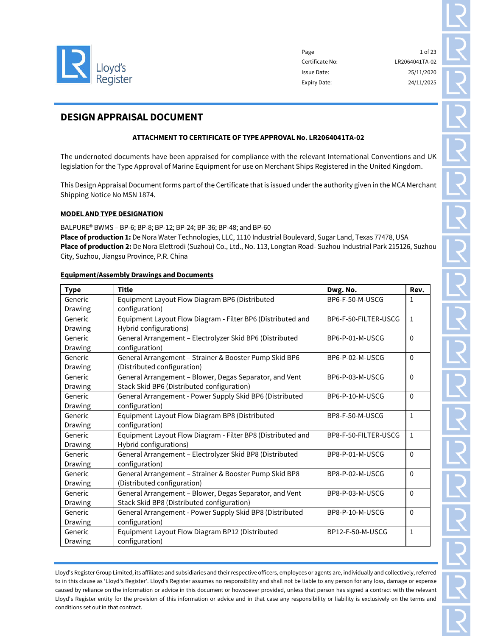

Page 23 Certificate No: LR2064041TA-02 Issue Date: 25/11/2020 Expiry Date: 24/11/2025

# DESIGN APPRAISAL DOCUMENT

# ATTACHMENT TO CERTIFICATE OF TYPE APPROVAL No. LR2064041TA-02

The undernoted documents have been appraised for compliance with the relevant International Conventions and UK legislation for the Type Approval of Marine Equipment for use on Merchant Ships Registered in the United Kingdom.

This Design Appraisal Document forms part of the Certificate that is issued under the authority given in the MCA Merchant Shipping Notice No MSN 1874.

#### MODEL AND TYPE DESIGNATION

BALPURE® BWMS – BP-6; BP-8; BP-12; BP-24; BP-36; BP-48; and BP-60 Place of production 1: De Nora Water Technologies, LLC, 1110 Industrial Boulevard, Sugar Land, Texas 77478, USA Place of production 2: De Nora Elettrodi (Suzhou) Co., Ltd., No. 113, Longtan Road- Suzhou Industrial Park 215126, Suzhou City, Suzhou, Jiangsu Province, P.R. China

#### Equipment/Assembly Drawings and Documents

| <b>Type</b>    | <b>Title</b>                                                                | Dwg. No.             | Rev.         |  |
|----------------|-----------------------------------------------------------------------------|----------------------|--------------|--|
| Generic        | Equipment Layout Flow Diagram BP6 (Distributed                              | BP6-F-50-M-USCG      | 1            |  |
| <b>Drawing</b> | configuration)                                                              |                      |              |  |
| Generic        | Equipment Layout Flow Diagram - Filter BP6 (Distributed and                 | BP6-F-50-FILTER-USCG | 1            |  |
| Drawing        | Hybrid configurations)                                                      |                      |              |  |
| Generic        | General Arrangement - Electrolyzer Skid BP6 (Distributed                    | BP6-P-01-M-USCG      | $\Omega$     |  |
| Drawing        | configuration)                                                              |                      |              |  |
| Generic        | General Arrangement - Strainer & Booster Pump Skid BP6                      | BP6-P-02-M-USCG      | $\Omega$     |  |
| Drawing        | (Distributed configuration)                                                 |                      |              |  |
| Generic        | General Arrangement - Blower, Degas Separator, and Vent                     | BP6-P-03-M-USCG      | $\Omega$     |  |
| Drawing        | Stack Skid BP6 (Distributed configuration)                                  |                      |              |  |
| Generic        | General Arrangement - Power Supply Skid BP6 (Distributed                    | BP6-P-10-M-USCG      | $\Omega$     |  |
| Drawing        | configuration)                                                              |                      |              |  |
| Generic        | Equipment Layout Flow Diagram BP8 (Distributed                              | BP8-F-50-M-USCG      | $\mathbf{1}$ |  |
| Drawing        | configuration)                                                              |                      |              |  |
| Generic        | Equipment Layout Flow Diagram - Filter BP8 (Distributed and                 | BP8-F-50-FILTER-USCG | $\mathbf{1}$ |  |
| Drawing        | Hybrid configurations)                                                      |                      |              |  |
| Generic        | General Arrangement - Electrolyzer Skid BP8 (Distributed                    | BP8-P-01-M-USCG      | $\Omega$     |  |
| Drawing        | configuration)                                                              |                      |              |  |
| Generic        | General Arrangement - Strainer & Booster Pump Skid BP8                      | BP8-P-02-M-USCG      | $\Omega$     |  |
| Drawing        | (Distributed configuration)                                                 |                      |              |  |
| Generic        | General Arrangement - Blower, Degas Separator, and Vent                     | BP8-P-03-M-USCG      | $\Omega$     |  |
| Drawing        | Stack Skid BP8 (Distributed configuration)                                  |                      |              |  |
| Generic        | General Arrangement - Power Supply Skid BP8 (Distributed<br>BP8-P-10-M-USCG |                      | $\Omega$     |  |
| Drawing        | configuration)                                                              |                      |              |  |
| Generic        | Equipment Layout Flow Diagram BP12 (Distributed                             | BP12-F-50-M-USCG     | $\mathbf{1}$ |  |
| Drawing        | configuration)                                                              |                      |              |  |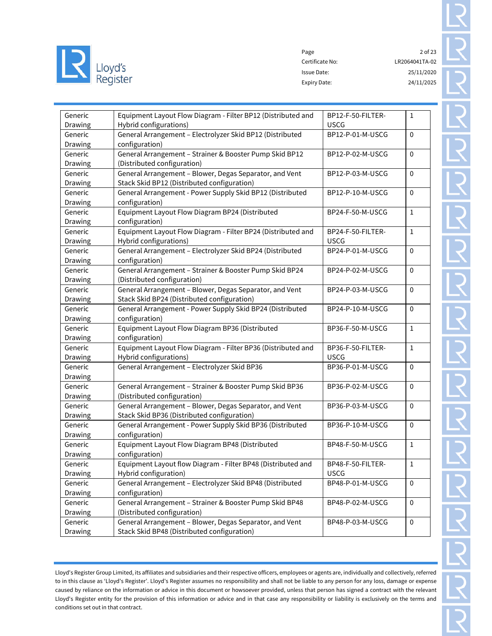

Page 2 of 23 Certificate No: LR2064041TA-02 Issue Date: 25/11/2020 Expiry Date: 24/11/2025

| Generic        | Equipment Layout Flow Diagram - Filter BP12 (Distributed and | BP12-F-50-FILTER- | $\mathbf{1}$ |
|----------------|--------------------------------------------------------------|-------------------|--------------|
| Drawing        | Hybrid configurations)                                       | <b>USCG</b>       |              |
| Generic        | General Arrangement - Electrolyzer Skid BP12 (Distributed    | BP12-P-01-M-USCG  | $\mathbf 0$  |
| <b>Drawing</b> | configuration)                                               |                   |              |
| Generic        | General Arrangement - Strainer & Booster Pump Skid BP12      | BP12-P-02-M-USCG  | $\mathbf 0$  |
| Drawing        | (Distributed configuration)                                  |                   |              |
| Generic        | General Arrangement - Blower, Degas Separator, and Vent      | BP12-P-03-M-USCG  | $\mathbf 0$  |
| Drawing        | Stack Skid BP12 (Distributed configuration)                  |                   |              |
| Generic        | General Arrangement - Power Supply Skid BP12 (Distributed    | BP12-P-10-M-USCG  | 0            |
| Drawing        | configuration)                                               |                   |              |
| Generic        | Equipment Layout Flow Diagram BP24 (Distributed              | BP24-F-50-M-USCG  | $\mathbf{1}$ |
| Drawing        | configuration)                                               |                   |              |
| Generic        | Equipment Layout Flow Diagram - Filter BP24 (Distributed and | BP24-F-50-FILTER- | $\mathbf 1$  |
| Drawing        | Hybrid configurations)                                       | <b>USCG</b>       |              |
| Generic        | General Arrangement - Electrolyzer Skid BP24 (Distributed    | BP24-P-01-M-USCG  | $\pmb{0}$    |
| Drawing        | configuration)                                               |                   |              |
| Generic        | General Arrangement - Strainer & Booster Pump Skid BP24      | BP24-P-02-M-USCG  | $\pmb{0}$    |
| Drawing        | (Distributed configuration)                                  |                   |              |
| Generic        | General Arrangement - Blower, Degas Separator, and Vent      | BP24-P-03-M-USCG  | $\pmb{0}$    |
| Drawing        | Stack Skid BP24 (Distributed configuration)                  |                   |              |
| Generic        | General Arrangement - Power Supply Skid BP24 (Distributed    | BP24-P-10-M-USCG  | $\pmb{0}$    |
| Drawing        | configuration)                                               |                   |              |
| Generic        | Equipment Layout Flow Diagram BP36 (Distributed              | BP36-F-50-M-USCG  | $\mathbf{1}$ |
| Drawing        | configuration)                                               |                   |              |
| Generic        | Equipment Layout Flow Diagram - Filter BP36 (Distributed and | BP36-F-50-FILTER- | $\mathbf{1}$ |
| Drawing        | Hybrid configurations)                                       | <b>USCG</b>       |              |
| Generic        | General Arrangement - Electrolyzer Skid BP36                 | BP36-P-01-M-USCG  | $\mathbf 0$  |
| Drawing        |                                                              |                   |              |
| Generic        | General Arrangement - Strainer & Booster Pump Skid BP36      | BP36-P-02-M-USCG  | $\mathbf 0$  |
| Drawing        | (Distributed configuration)                                  |                   |              |
| Generic        | General Arrangement - Blower, Degas Separator, and Vent      | BP36-P-03-M-USCG  | $\mathbf 0$  |
| Drawing        | Stack Skid BP36 (Distributed configuration)                  |                   |              |
| Generic        | General Arrangement - Power Supply Skid BP36 (Distributed    | BP36-P-10-M-USCG  | $\mathbf 0$  |
| Drawing        | configuration)                                               |                   |              |
| Generic        | Equipment Layout Flow Diagram BP48 (Distributed              | BP48-F-50-M-USCG  | $\mathbf 1$  |
| Drawing        | configuration)                                               |                   |              |
| Generic        | Equipment Layout flow Diagram - Filter BP48 (Distributed and | BP48-F-50-FILTER- | $\mathbf 1$  |
| Drawing        | Hybrid configuration)                                        | <b>USCG</b>       |              |
| Generic        | General Arrangement - Electrolyzer Skid BP48 (Distributed    | BP48-P-01-M-USCG  | $\Omega$     |
| Drawing        | configuration)                                               |                   |              |
| Generic        | General Arrangement - Strainer & Booster Pump Skid BP48      | BP48-P-02-M-USCG  | $\mathbf 0$  |
| Drawing        | (Distributed configuration)                                  |                   |              |
| Generic        | General Arrangement - Blower, Degas Separator, and Vent      | BP48-P-03-M-USCG  | $\mathbf 0$  |
| Drawing        | Stack Skid BP48 (Distributed configuration)                  |                   |              |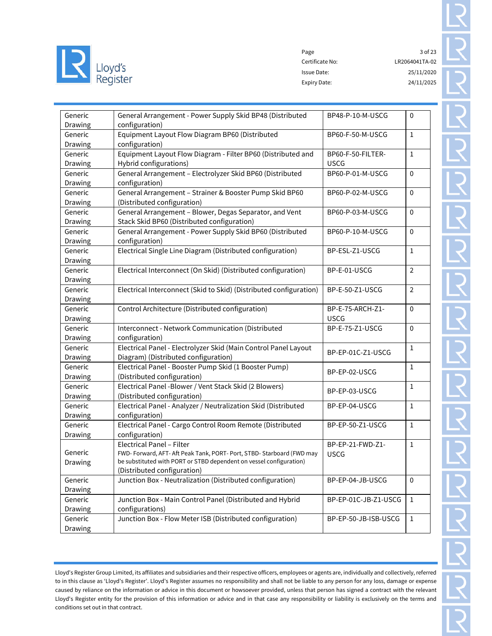

Page 3 of 23 Certificate No: LR2064041TA-02 Issue Date: 25/11/2020 Expiry Date: 24/11/2025

| Generic        | General Arrangement - Power Supply Skid BP48 (Distributed              | BP48-P-10-M-USCG     | $\pmb{0}$      |
|----------------|------------------------------------------------------------------------|----------------------|----------------|
| Drawing        | configuration)                                                         |                      |                |
| Generic        | Equipment Layout Flow Diagram BP60 (Distributed                        | BP60-F-50-M-USCG     | $\mathbf{1}$   |
| Drawing        | configuration)                                                         |                      |                |
| Generic        | Equipment Layout Flow Diagram - Filter BP60 (Distributed and           | BP60-F-50-FILTER-    | 1              |
| <b>Drawing</b> | Hybrid configurations)                                                 | <b>USCG</b>          |                |
| Generic        | General Arrangement - Electrolyzer Skid BP60 (Distributed              | BP60-P-01-M-USCG     | 0              |
| Drawing        | configuration)                                                         |                      |                |
| Generic        | General Arrangement - Strainer & Booster Pump Skid BP60                | BP60-P-02-M-USCG     | $\pmb{0}$      |
| Drawing        | (Distributed configuration)                                            |                      |                |
| Generic        | General Arrangement - Blower, Degas Separator, and Vent                | BP60-P-03-M-USCG     | $\pmb{0}$      |
| Drawing        | Stack Skid BP60 (Distributed configuration)                            |                      |                |
| Generic        | General Arrangement - Power Supply Skid BP60 (Distributed              | BP60-P-10-M-USCG     | $\mathbf{0}$   |
| Drawing        | configuration)                                                         |                      |                |
| Generic        | Electrical Single Line Diagram (Distributed configuration)             | BP-ESL-Z1-USCG       | $1\,$          |
| Drawing        |                                                                        |                      |                |
| Generic        | Electrical Interconnect (On Skid) (Distributed configuration)          | BP-E-01-USCG         | $\overline{2}$ |
| Drawing        |                                                                        |                      |                |
| Generic        | Electrical Interconnect (Skid to Skid) (Distributed configuration)     | BP-E-50-Z1-USCG      | $\overline{2}$ |
| Drawing        |                                                                        |                      |                |
| Generic        | Control Architecture (Distributed configuration)                       | BP-E-75-ARCH-Z1-     | $\mathbf{0}$   |
| Drawing        |                                                                        | <b>USCG</b>          |                |
| Generic        | Interconnect - Network Communication (Distributed                      | BP-E-75-Z1-USCG      | $\mathbf{0}$   |
| Drawing        | configuration)                                                         |                      |                |
| Generic        | Electrical Panel - Electrolyzer Skid (Main Control Panel Layout        | BP-EP-01C-Z1-USCG    | $\mathbf{1}$   |
| Drawing        | Diagram) (Distributed configuration)                                   |                      |                |
| Generic        | Electrical Panel - Booster Pump Skid (1 Booster Pump)                  | BP-EP-02-USCG        | $\mathbf{1}$   |
| Drawing        | (Distributed configuration)                                            |                      |                |
| Generic        | Electrical Panel - Blower / Vent Stack Skid (2 Blowers)                | BP-EP-03-USCG        | 1              |
| <b>Drawing</b> | (Distributed configuration)                                            |                      |                |
| Generic        | Electrical Panel - Analyzer / Neutralization Skid (Distributed         | BP-EP-04-USCG        | $\mathbf{1}$   |
| Drawing        | configuration)                                                         |                      |                |
| Generic        | Electrical Panel - Cargo Control Room Remote (Distributed              | BP-EP-50-Z1-USCG     | $\mathbf{1}$   |
| Drawing        | configuration)                                                         |                      |                |
|                | Electrical Panel - Filter                                              | BP-EP-21-FWD-Z1-     | 1              |
| Generic        | FWD- Forward, AFT- Aft Peak Tank, PORT- Port, STBD- Starboard (FWD may | <b>USCG</b>          |                |
| Drawing        | be substituted with PORT or STBD dependent on vessel configuration)    |                      |                |
|                | (Distributed configuration)                                            |                      |                |
| Generic        | Junction Box - Neutralization (Distributed configuration)              | BP-EP-04-JB-USCG     | $\mathbf 0$    |
| Drawing        |                                                                        |                      |                |
| Generic        | Junction Box - Main Control Panel (Distributed and Hybrid              | BP-EP-01C-JB-Z1-USCG | $\mathbf{1}$   |
| Drawing        | configurations)                                                        |                      |                |
| Generic        | Junction Box - Flow Meter ISB (Distributed configuration)              | BP-EP-50-JB-ISB-USCG | $\mathbf{1}$   |
| Drawing        |                                                                        |                      |                |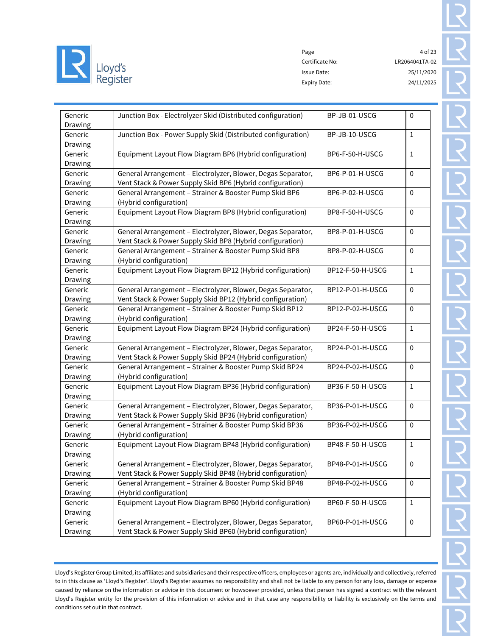

Page 4 of 23 Certificate No: LR2064041TA-02 Issue Date: 25/11/2020 Expiry Date: 24/11/2025

| Generic<br>Drawing | Junction Box - Electrolyzer Skid (Distributed configuration) | BP-JB-01-USCG    | $\mathbf 0$  |
|--------------------|--------------------------------------------------------------|------------------|--------------|
| Generic            | Junction Box - Power Supply Skid (Distributed configuration) | BP-JB-10-USCG    | $\mathbf{1}$ |
| Drawing            |                                                              |                  |              |
| Generic            | Equipment Layout Flow Diagram BP6 (Hybrid configuration)     | BP6-F-50-H-USCG  | $\mathbf{1}$ |
| Drawing            |                                                              |                  |              |
| Generic            | General Arrangement - Electrolyzer, Blower, Degas Separator, | BP6-P-01-H-USCG  | $\mathbf 0$  |
| Drawing            | Vent Stack & Power Supply Skid BP6 (Hybrid configuration)    |                  |              |
| Generic            | General Arrangement - Strainer & Booster Pump Skid BP6       | BP6-P-02-H-USCG  | $\mathbf 0$  |
| Drawing            | (Hybrid configuration)                                       |                  |              |
| Generic            | Equipment Layout Flow Diagram BP8 (Hybrid configuration)     | BP8-F-50-H-USCG  | $\pmb{0}$    |
| Drawing            |                                                              |                  |              |
| Generic            | General Arrangement - Electrolyzer, Blower, Degas Separator, | BP8-P-01-H-USCG  | $\pmb{0}$    |
| <b>Drawing</b>     | Vent Stack & Power Supply Skid BP8 (Hybrid configuration)    |                  |              |
| Generic            | General Arrangement - Strainer & Booster Pump Skid BP8       | BP8-P-02-H-USCG  | $\mathbf 0$  |
| <b>Drawing</b>     | (Hybrid configuration)                                       |                  |              |
| Generic            | Equipment Layout Flow Diagram BP12 (Hybrid configuration)    | BP12-F-50-H-USCG | $\mathbf 1$  |
| Drawing            |                                                              |                  |              |
| Generic            | General Arrangement - Electrolyzer, Blower, Degas Separator, | BP12-P-01-H-USCG | $\mathbf 0$  |
| Drawing            | Vent Stack & Power Supply Skid BP12 (Hybrid configuration)   |                  |              |
| Generic            | General Arrangement - Strainer & Booster Pump Skid BP12      | BP12-P-02-H-USCG | $\pmb{0}$    |
| <b>Drawing</b>     | (Hybrid configuration)                                       |                  |              |
| Generic            | Equipment Layout Flow Diagram BP24 (Hybrid configuration)    | BP24-F-50-H-USCG | $\mathbf 1$  |
| Drawing            |                                                              |                  |              |
| Generic            | General Arrangement - Electrolyzer, Blower, Degas Separator, | BP24-P-01-H-USCG | $\mathbf 0$  |
| Drawing            | Vent Stack & Power Supply Skid BP24 (Hybrid configuration)   |                  |              |
| Generic            | General Arrangement - Strainer & Booster Pump Skid BP24      | BP24-P-02-H-USCG | $\mathbf 0$  |
| Drawing            | (Hybrid configuration)                                       |                  |              |
| Generic            | Equipment Layout Flow Diagram BP36 (Hybrid configuration)    | BP36-F-50-H-USCG | $\mathbf 1$  |
| Drawing            |                                                              |                  |              |
| Generic            | General Arrangement - Electrolyzer, Blower, Degas Separator, | BP36-P-01-H-USCG | $\mathbf 0$  |
| Drawing            | Vent Stack & Power Supply Skid BP36 (Hybrid configuration)   |                  |              |
| Generic            | General Arrangement - Strainer & Booster Pump Skid BP36      | BP36-P-02-H-USCG | $\pmb{0}$    |
| Drawing            | (Hybrid configuration)                                       |                  |              |
| Generic            | Equipment Layout Flow Diagram BP48 (Hybrid configuration)    | BP48-F-50-H-USCG | $\mathbf{1}$ |
| Drawing            |                                                              |                  |              |
| Generic            | General Arrangement - Electrolyzer, Blower, Degas Separator, | BP48-P-01-H-USCG | $\pmb{0}$    |
| Drawing            | Vent Stack & Power Supply Skid BP48 (Hybrid configuration)   |                  |              |
| Generic            | General Arrangement - Strainer & Booster Pump Skid BP48      | BP48-P-02-H-USCG | $\mathbf 0$  |
| Drawing            | (Hybrid configuration)                                       |                  |              |
| Generic            | Equipment Layout Flow Diagram BP60 (Hybrid configuration)    | BP60-F-50-H-USCG | $\mathbf{1}$ |
| Drawing            |                                                              |                  |              |
| Generic            | General Arrangement - Electrolyzer, Blower, Degas Separator, | BP60-P-01-H-USCG | $\mathbf 0$  |
| Drawing            | Vent Stack & Power Supply Skid BP60 (Hybrid configuration)   |                  |              |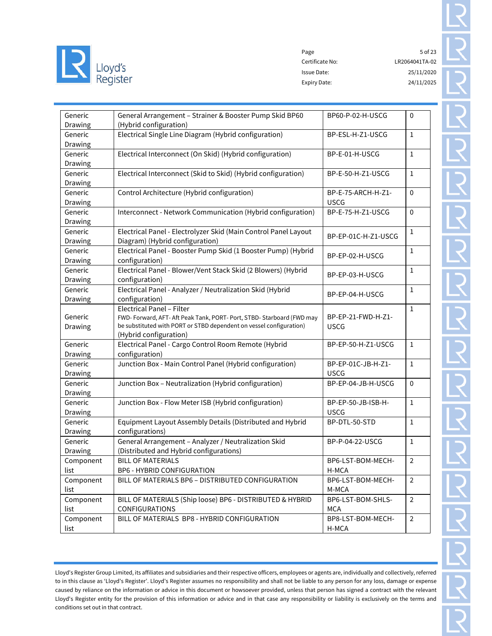

Page 5 of 23 Certificate No: LR2064041TA-02 Issue Date: 25/11/2020 Expiry Date: 24/11/2025

| Generic<br>Drawing                                                                                                                                                                                                         | General Arrangement - Strainer & Booster Pump Skid BP60<br>(Hybrid configuration)                  | BP60-P-02-H-USCG                  | $\mathbf 0$    |
|----------------------------------------------------------------------------------------------------------------------------------------------------------------------------------------------------------------------------|----------------------------------------------------------------------------------------------------|-----------------------------------|----------------|
| Generic<br>Drawing                                                                                                                                                                                                         | Electrical Single Line Diagram (Hybrid configuration)                                              | BP-ESL-H-Z1-USCG                  | 1              |
| Generic<br>Drawing                                                                                                                                                                                                         | Electrical Interconnect (On Skid) (Hybrid configuration)                                           | BP-E-01-H-USCG                    | $\mathbf{1}$   |
| Generic<br>Drawing                                                                                                                                                                                                         | Electrical Interconnect (Skid to Skid) (Hybrid configuration)                                      | BP-E-50-H-Z1-USCG                 | 1              |
| Generic<br>Drawing                                                                                                                                                                                                         | Control Architecture (Hybrid configuration)                                                        | BP-E-75-ARCH-H-Z1-<br><b>USCG</b> | $\mathbf 0$    |
| Generic<br>Drawing                                                                                                                                                                                                         | Interconnect - Network Communication (Hybrid configuration)                                        | BP-E-75-H-Z1-USCG                 | $\mathbf 0$    |
| Generic<br>Drawing                                                                                                                                                                                                         | Electrical Panel - Electrolyzer Skid (Main Control Panel Layout<br>Diagram) (Hybrid configuration) | BP-EP-01C-H-Z1-USCG               | 1              |
| Generic<br>Drawing                                                                                                                                                                                                         | Electrical Panel - Booster Pump Skid (1 Booster Pump) (Hybrid<br>configuration)                    | BP-EP-02-H-USCG                   | 1              |
| Generic<br>Drawing                                                                                                                                                                                                         | Electrical Panel - Blower/Vent Stack Skid (2 Blowers) (Hybrid<br>configuration)                    | BP-EP-03-H-USCG                   | 1              |
| Generic<br>Drawing                                                                                                                                                                                                         | Electrical Panel - Analyzer / Neutralization Skid (Hybrid<br>configuration)                        | BP-EP-04-H-USCG                   | 1              |
| Electrical Panel - Filter<br>Generic<br>FWD- Forward, AFT- Aft Peak Tank, PORT- Port, STBD- Starboard (FWD may<br>be substituted with PORT or STBD dependent on vessel configuration)<br>Drawing<br>(Hybrid configuration) |                                                                                                    | BP-EP-21-FWD-H-Z1-<br><b>USCG</b> | 1              |
| Generic<br>Drawing                                                                                                                                                                                                         | Electrical Panel - Cargo Control Room Remote (Hybrid<br>configuration)                             | BP-EP-50-H-Z1-USCG                | $\mathbf{1}$   |
| Generic<br>Drawing                                                                                                                                                                                                         | Junction Box - Main Control Panel (Hybrid configuration)                                           | BP-EP-01C-JB-H-Z1-<br><b>USCG</b> | $\mathbf{1}$   |
| Generic<br>Drawing                                                                                                                                                                                                         | Junction Box - Neutralization (Hybrid configuration)                                               | BP-EP-04-JB-H-USCG                | $\mathbf 0$    |
| Generic<br>Drawing                                                                                                                                                                                                         | Junction Box - Flow Meter ISB (Hybrid configuration)                                               | BP-EP-50-JB-ISB-H-<br><b>USCG</b> | $\mathbf{1}$   |
| Generic<br>Drawing                                                                                                                                                                                                         | Equipment Layout Assembly Details (Distributed and Hybrid<br>configurations)                       | BP-DTL-50-STD                     | $\mathbf{1}$   |
| Generic<br>Drawing                                                                                                                                                                                                         | General Arrangement - Analyzer / Neutralization Skid<br>(Distributed and Hybrid configurations)    | BP-P-04-22-USCG                   | $\mathbf{1}$   |
| Component<br>list                                                                                                                                                                                                          | <b>BILL OF MATERIALS</b><br><b>BP6 - HYBRID CONFIGURATION</b>                                      | BP6-LST-BOM-MECH-<br>H-MCA        | $\overline{2}$ |
| Component<br>list                                                                                                                                                                                                          | BILL OF MATERIALS BP6 - DISTRIBUTED CONFIGURATION                                                  | BP6-LST-BOM-MECH-<br>M-MCA        | $\overline{2}$ |
| Component<br>list                                                                                                                                                                                                          | BILL OF MATERIALS (Ship loose) BP6 - DISTRIBUTED & HYBRID<br>CONFIGURATIONS                        | BP6-LST-BOM-SHLS-<br><b>MCA</b>   | $\overline{2}$ |
| Component<br>list                                                                                                                                                                                                          | BILL OF MATERIALS BP8 - HYBRID CONFIGURATION                                                       | BP8-LST-BOM-MECH-<br>H-MCA        | $\overline{2}$ |
|                                                                                                                                                                                                                            |                                                                                                    |                                   |                |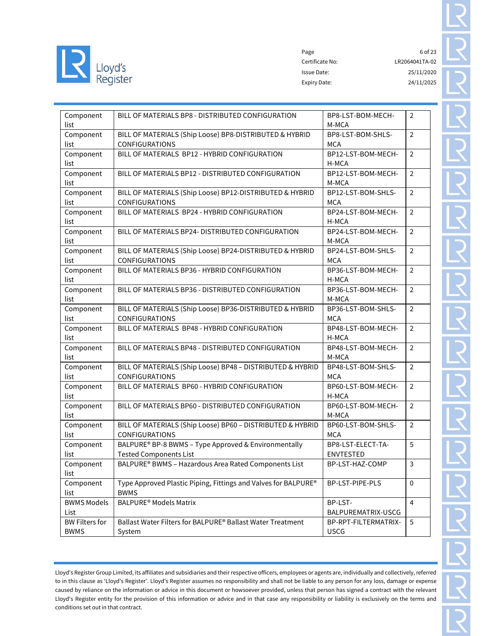

Page 6 of 23 Certificate No: LR2064041TA-02 Issue Date: 25/11/2020 Expiry Date: 24/11/2025

| Component<br>list                    | BILL OF MATERIALS BP8 - DISTRIBUTED CONFIGURATION                                     | BP8-LST-BOM-MECH-<br>M-MCA            | $\overline{2}$ |
|--------------------------------------|---------------------------------------------------------------------------------------|---------------------------------------|----------------|
| Component<br>list                    | BILL OF MATERIALS (Ship Loose) BP8-DISTRIBUTED & HYBRID<br><b>CONFIGURATIONS</b>      | BP8-LST-BOM-SHLS-<br><b>MCA</b>       | $\overline{2}$ |
| Component<br>list                    | BILL OF MATERIALS BP12 - HYBRID CONFIGURATION                                         | BP12-LST-BOM-MECH-<br>H-MCA           | $\overline{2}$ |
| Component<br>list                    | BILL OF MATERIALS BP12 - DISTRIBUTED CONFIGURATION                                    | BP12-LST-BOM-MECH-<br>M-MCA           | $\overline{2}$ |
| Component<br>list                    | BILL OF MATERIALS (Ship Loose) BP12-DISTRIBUTED & HYBRID<br><b>CONFIGURATIONS</b>     | BP12-LST-BOM-SHLS-<br><b>MCA</b>      | $\overline{2}$ |
| Component<br>list                    | BILL OF MATERIALS BP24 - HYBRID CONFIGURATION                                         | BP24-LST-BOM-MECH-<br>H-MCA           | $\overline{2}$ |
| Component<br>list                    | BILL OF MATERIALS BP24- DISTRIBUTED CONFIGURATION                                     | BP24-LST-BOM-MECH-<br>M-MCA           | $\overline{2}$ |
| Component<br>list                    | BILL OF MATERIALS (Ship Loose) BP24-DISTRIBUTED & HYBRID<br><b>CONFIGURATIONS</b>     | BP24-LST-BOM-SHLS-<br><b>MCA</b>      | $\overline{2}$ |
| Component<br>list                    | BILL OF MATERIALS BP36 - HYBRID CONFIGURATION                                         | BP36-LST-BOM-MECH-<br>H-MCA           | $\overline{2}$ |
| Component<br>list                    | BILL OF MATERIALS BP36 - DISTRIBUTED CONFIGURATION                                    | BP36-LST-BOM-MECH-<br>M-MCA           | $\overline{2}$ |
| Component<br>list                    | BILL OF MATERIALS (Ship Loose) BP36-DISTRIBUTED & HYBRID<br><b>CONFIGURATIONS</b>     | BP36-LST-BOM-SHLS-<br>MCA             | $\overline{2}$ |
| Component<br>list                    | BILL OF MATERIALS BP48 - HYBRID CONFIGURATION                                         | BP48-LST-BOM-MECH-<br>H-MCA           | $\overline{2}$ |
| Component<br>list                    | BILL OF MATERIALS BP48 - DISTRIBUTED CONFIGURATION                                    | BP48-LST-BOM-MECH-<br>M-MCA           | $\overline{2}$ |
| Component<br>list                    | BILL OF MATERIALS (Ship Loose) BP48 - DISTRIBUTED & HYBRID<br><b>CONFIGURATIONS</b>   | BP48-LST-BOM-SHLS-<br><b>MCA</b>      | $\overline{2}$ |
| Component<br>list                    | BILL OF MATERIALS BP60 - HYBRID CONFIGURATION                                         | BP60-LST-BOM-MECH-<br>H-MCA           | $\overline{2}$ |
| Component<br>list                    | BILL OF MATERIALS BP60 - DISTRIBUTED CONFIGURATION                                    | BP60-LST-BOM-MECH-<br>M-MCA           | $\overline{2}$ |
| Component<br>list                    | BILL OF MATERIALS (Ship Loose) BP60 - DISTRIBUTED & HYBRID<br><b>CONFIGURATIONS</b>   | BP60-LST-BOM-SHLS-<br><b>MCA</b>      | $\overline{2}$ |
| Component<br>list                    | BALPURE® BP-8 BWMS - Type Approved & Environmentally<br><b>Tested Components List</b> | BP8-LST-ELECT-TA-<br><b>ENVTESTED</b> | 5              |
| Component<br>list                    | BALPURE® BWMS - Hazardous Area Rated Components List                                  | BP-LST-HAZ-COMP                       | $\mathbf{3}$   |
| Component<br>list                    | Type Approved Plastic Piping, Fittings and Valves for BALPURE®<br><b>BWMS</b>         | BP-LST-PIPE-PLS                       | $\mathbf 0$    |
| <b>BWMS Models</b><br>List           | <b>BALPURE<sup>®</sup> Models Matrix</b>                                              | BP-LST-<br>BALPUREMATRIX-USCG         | 4              |
| <b>BW Filters for</b><br><b>BWMS</b> | Ballast Water Filters for BALPURE® Ballast Water Treatment<br>System                  | BP-RPT-FILTERMATRIX-<br><b>USCG</b>   | 5              |
|                                      |                                                                                       |                                       |                |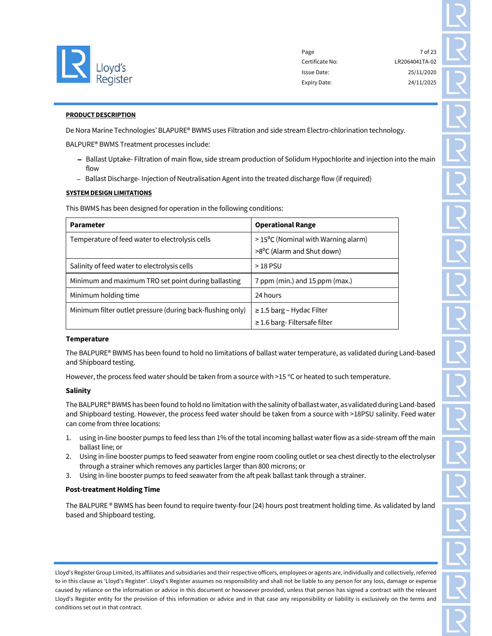

Page 7 of 23 Certificate No: LR2064041TA-02 Issue Date: 25/11/2020 Expiry Date: 24/11/2025

#### PRODUCT DESCRIPTION

De Nora Marine Technologies' BLAPURE® BWMS uses Filtration and side stream Electro-chlorination technology.

BALPURE® BWMS Treatment processes include:

- Ballast Uptake- Filtration of main flow, side stream production of Solidum Hypochlorite and injection into the main flow
- Ballast Discharge- Injection of Neutralisation Agent into the treated discharge flow (if required)

### SYSTEM DESIGN LIMITATIONS

This BWMS has been designed for operation in the following conditions:

| <b>Parameter</b>                                           | <b>Operational Range</b>                                                                |  |
|------------------------------------------------------------|-----------------------------------------------------------------------------------------|--|
| Temperature of feed water to electrolysis cells            | $>15^{\circ}$ C (Nominal with Warning alarm)<br>>8 <sup>o</sup> C (Alarm and Shut down) |  |
| Salinity of feed water to electrolysis cells               | $>18$ PSU                                                                               |  |
| Minimum and maximum TRO set point during ballasting        | 7 ppm (min.) and 15 ppm (max.)                                                          |  |
| Minimum holding time                                       | 24 hours                                                                                |  |
| Minimum filter outlet pressure (during back-flushing only) | $\geq$ 1.5 barg – Hydac Filter<br>$\geq$ 1.6 barg-Filtersafe filter                     |  |

#### **Temperature**

The BALPURE® BWMS has been found to hold no limitations of ballast water temperature, as validated during Land-based and Shipboard testing.

However, the process feed water should be taken from a source with  $>15$  °C or heated to such temperature.

# Salinity

The BALPURE® BWMS has been found to hold no limitation with the salinity of ballast water, as validated during Land-based and Shipboard testing. However, the process feed water should be taken from a source with >18PSU salinity. Feed water can come from three locations:

- 1. using in-line booster pumps to feed less than 1% of the total incoming ballast water flow as a side-stream off the main ballast line; or
- 2. Using in-line booster pumps to feed seawater from engine room cooling outlet or sea chest directly to the electrolyser through a strainer which removes any particles larger than 800 microns; or
- 3. Using in-line booster pumps to feed seawater from the aft peak ballast tank through a strainer.

# Post-treatment Holding Time

The BALPURE ® BWMS has been found to require twenty-four (24) hours post treatment holding time. As validated by land based and Shipboard testing.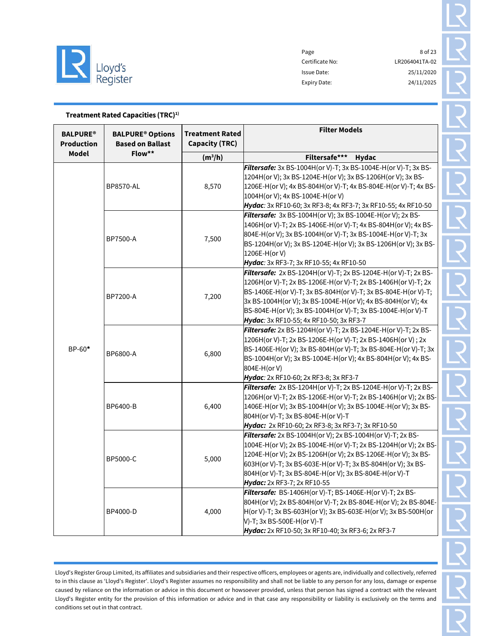

| Treatment Rated Capacities (TRC) <sup>1)</sup>                                                        |                  |                                                 |                                                                                                                                                                                                                                                                                                                                                                            |  |
|-------------------------------------------------------------------------------------------------------|------------------|-------------------------------------------------|----------------------------------------------------------------------------------------------------------------------------------------------------------------------------------------------------------------------------------------------------------------------------------------------------------------------------------------------------------------------------|--|
| <b>BALPURE®</b><br><b>BALPURE<sup>®</sup> Options</b><br><b>Production</b><br><b>Based on Ballast</b> |                  | <b>Treatment Rated</b><br><b>Capacity (TRC)</b> | <b>Filter Models</b>                                                                                                                                                                                                                                                                                                                                                       |  |
| <b>Model</b>                                                                                          | Flow**           | $(m^3/h)$                                       | Filtersafe***<br><b>Hydac</b>                                                                                                                                                                                                                                                                                                                                              |  |
| BP-60*                                                                                                | <b>BP8570-AL</b> | 8,570                                           | Filtersafe: 3x BS-1004H(or V)-T; 3x BS-1004E-H(or V)-T; 3x BS-<br>1204H(or V); 3x BS-1204E-H(or V); 3x BS-1206H(or V); 3x BS-<br>1206E-H(or V); 4x BS-804H(or V)-T; 4x BS-804E-H(or V)-T; 4x BS-<br>1004H(or V); 4x BS-1004E-H(or V)<br>Hydac: 3x RF10-60; 3x RF3-8; 4x RF3-7; 3x RF10-55; 4x RF10-50                                                                      |  |
|                                                                                                       | BP7500-A         | 7,500                                           | Filtersafe: 3x BS-1004H(or V); 3x BS-1004E-H(or V); 2x BS-<br>1406H(or V)-T; 2x BS-1406E-H(or V)-T; 4x BS-804H(or V); 4x BS-<br>804E-H(or V); 3x BS-1004H(or V)-T; 3x BS-1004E-H(or V)-T; 3x<br>BS-1204H(or V); 3x BS-1204E-H(or V); 3x BS-1206H(or V); 3x BS-<br>1206E-H(or V)<br>Hydac: 3x RF3-7; 3x RF10-55; 4x RF10-50                                                 |  |
|                                                                                                       | BP7200-A         | 7,200                                           | Filtersafe: 2x BS-1204H(or V)-T; 2x BS-1204E-H(or V)-T; 2x BS-<br>1206H(or V)-T; 2x BS-1206E-H(or V)-T; 2x BS-1406H(or V)-T; 2x<br>BS-1406E-H(or V)-T; 3x BS-804H(or V)-T; 3x BS-804E-H(or V)-T;<br>3x BS-1004H(or V); 3x BS-1004E-H(or V); 4x BS-804H(or V); 4x<br>BS-804E-H(or V); 3x BS-1004H(or V)-T; 3x BS-1004E-H(or V)-T<br>Hydac: 3x RF10-55; 4x RF10-50; 3x RF3-7 |  |
|                                                                                                       | BP6800-A         | 6,800                                           | Filtersafe: 2x BS-1204H(or V)-T; 2x BS-1204E-H(or V)-T; 2x BS-<br>1206H(or V)-T; 2x BS-1206E-H(or V)-T; 2x BS-1406H(or V); 2x<br>BS-1406E-H(or V); 3x BS-804H(or V)-T; 3x BS-804E-H(or V)-T; 3x<br>BS-1004H(or V); 3x BS-1004E-H(or V); 4x BS-804H(or V); 4x BS-<br>804E-H(or V)<br>Hydac: 2x RF10-60; 2x RF3-8; 3x RF3-7                                                  |  |
|                                                                                                       | BP6400-B         | 6,400                                           | Filtersafe: 2x BS-1204H(or V)-T; 2x BS-1204E-H(or V)-T; 2x BS-<br>1206H(or V)-T; 2x BS-1206E-H(or V)-T; 2x BS-1406H(or V); 2x BS-<br>1406E-H(or V); 3x BS-1004H(or V); 3x BS-1004E-H(or V); 3x BS-<br>804H(or V)-T; 3x BS-804E-H(or V)-T<br>Hydac: 2x RF10-60; 2x RF3-8; 3x RF3-7; 3x RF10-50                                                                              |  |
|                                                                                                       | BP5000-C         | 5,000                                           | Filtersafe: 2x BS-1004H(or V); 2x BS-1004H(or V)-T; 2x BS-<br>1004E-H(or V); 2x BS-1004E-H(or V)-T; 2x BS-1204H(or V); 2x BS-<br>1204E-H(or V); 2x BS-1206H(or V); 2x BS-1206E-H(or V); 3x BS-<br>603H(or V)-T; 3x BS-603E-H(or V)-T; 3x BS-804H(or V); 3x BS-<br>804H(or V)-T; 3x BS-804E-H(or V); 3x BS-804E-H(or V)-T<br><b>Hydac:</b> 2x RF3-7; 2x RF10-55             |  |
|                                                                                                       | BP4000-D         | 4,000                                           | Filtersafe: BS-1406H(or V)-T; BS-1406E-H(or V)-T; 2x BS-<br>804H(or V); 2x BS-804H(or V)-T; 2x BS-804E-H(or V); 2x BS-804E-<br>H(or V)-T; 3x BS-603H(or V); 3x BS-603E-H(or V); 3x BS-500H(or<br>V)-T; 3x BS-500E-H(or V)-T<br>Hydac: 2x RF10-50; 3x RF10-40; 3x RF3-6; 2x RF3-7                                                                                           |  |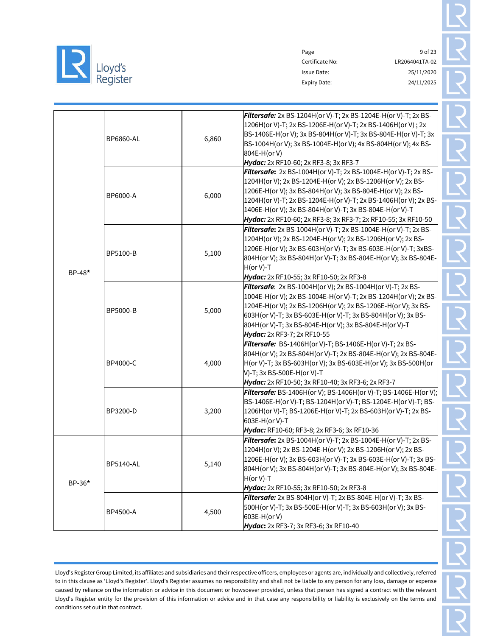

Page 9 of 23 Certificate No: LR2064041TA-02 Issue Date: 25/11/2020 Expiry Date: 24/11/2025

|        | BP6860-AL        | 6,860 | Filtersafe: 2x BS-1204H(or V)-T; 2x BS-1204E-H(or V)-T; 2x BS-<br>1206H(or V)-T; 2x BS-1206E-H(or V)-T; 2x BS-1406H(or V); 2x<br>BS-1406E-H(or V); 3x BS-804H(or V)-T; 3x BS-804E-H(or V)-T; 3x<br>BS-1004H(or V); 3x BS-1004E-H(or V); 4x BS-804H(or V); 4x BS-<br>804E-H(or V)<br>Hydac: 2x RF10-60; 2x RF3-8; 3x RF3-7                                                                   |  |
|--------|------------------|-------|---------------------------------------------------------------------------------------------------------------------------------------------------------------------------------------------------------------------------------------------------------------------------------------------------------------------------------------------------------------------------------------------|--|
| BP-48* | BP6000-A         | 6,000 | Filtersafe: 2x BS-1004H(or V)-T; 2x BS-1004E-H(or V)-T; 2x BS-<br>1204H(or V); 2x BS-1204E-H(or V); 2x BS-1206H(or V); 2x BS-<br>1206E-H(or V); 3x BS-804H(or V); 3x BS-804E-H(or V); 2x BS-<br>1204H(or V)-T; 2x BS-1204E-H(or V)-T; 2x BS-1406H(or V); 2x BS-<br>1406E-H(or V); 3x BS-804H(or V)-T; 3x BS-804E-H(or V)-T<br>Hydac: 2x RF10-60; 2x RF3-8; 3x RF3-7; 2x RF10-55; 3x RF10-50 |  |
|        | BP5100-B         | 5,100 | Filtersafe: 2x BS-1004H(or V)-T; 2x BS-1004E-H(or V)-T; 2x BS-<br>1204H(or V); 2x BS-1204E-H(or V); 2x BS-1206H(or V); 2x BS-<br>1206E-H(or V); 3x BS-603H(or V)-T; 3x BS-603E-H(or V)-T; 3xBS-<br>804H(or V); 3x BS-804H(or V)-T; 3x BS-804E-H(or V); 3x BS-804E-<br>$H($ or V)-T<br>Hydac: 2x RF10-55; 3x RF10-50; 2x RF3-8                                                               |  |
|        | BP5000-B         | 5,000 | <b>Filtersafe:</b> 2x BS-1004H(or V); 2x BS-1004H(or V)-T; 2x BS-<br>1004E-H(or V); 2x BS-1004E-H(or V)-T; 2x BS-1204H(or V); 2x BS-<br>1204E-H(or V); 2x BS-1206H(or V); 2x BS-1206E-H(or V); 3x BS-<br>603H(or V)-T; 3x BS-603E-H(or V)-T; 3x BS-804H(or V); 3x BS-<br>804H(or V)-T; 3x BS-804E-H(or V); 3x BS-804E-H(or V)-T<br>Hydac: 2x RF3-7; 2x RF10-55                              |  |
|        | BP4000-C         | 4,000 | Filtersafe: BS-1406H(or V)-T; BS-1406E-H(or V)-T; 2x BS-<br>804H(or V); 2x BS-804H(or V)-T; 2x BS-804E-H(or V); 2x BS-804E-<br>H(or V)-T; 3x BS-603H(or V); 3x BS-603E-H(or V); 3x BS-500H(or<br>V)-T; 3x BS-500E-H(or V)-T<br>Hydac: 2x RF10-50; 3x RF10-40; 3x RF3-6; 2x RF3-7                                                                                                            |  |
|        | BP3200-D         | 3,200 | Filtersafe: BS-1406H(or V); BS-1406H(or V)-T; BS-1406E-H(or V);<br>BS-1406E-H(or V)-T; BS-1204H(or V)-T; BS-1204E-H(or V)-T; BS-<br>1206H(or V)-T; BS-1206E-H(or V)-T; 2x BS-603H(or V)-T; 2x BS-<br>603E-H(or V)-T<br>Hydac: RF10-60; RF3-8; 2x RF3-6; 3x RF10-36                                                                                                                          |  |
| BP-36* | <b>BP5140-AL</b> | 5,140 | Filtersafe: 2x BS-1004H(or V)-T; 2x BS-1004E-H(or V)-T; 2x BS-<br>1204H(or V); 2x BS-1204E-H(or V); 2x BS-1206H(or V); 2x BS-<br>1206E-H(or V); 3x BS-603H(or V)-T; 3x BS-603E-H(or V)-T; 3x BS-<br>804H(or V); 3x BS-804H(or V)-T; 3x BS-804E-H(or V); 3x BS-804E-<br>$H($ or V)-T<br>Hydac: 2x RF10-55; 3x RF10-50; 2x RF3-8                                                              |  |
|        | BP4500-A         | 4,500 | Filtersafe: 2x BS-804H(or V)-T; 2x BS-804E-H(or V)-T; 3x BS-<br>500H(or V)-T; 3x BS-500E-H(or V)-T; 3x BS-603H(or V); 3x BS-<br>603E-H(or V)<br>Hydac: 2x RF3-7; 3x RF3-6; 3x RF10-40                                                                                                                                                                                                       |  |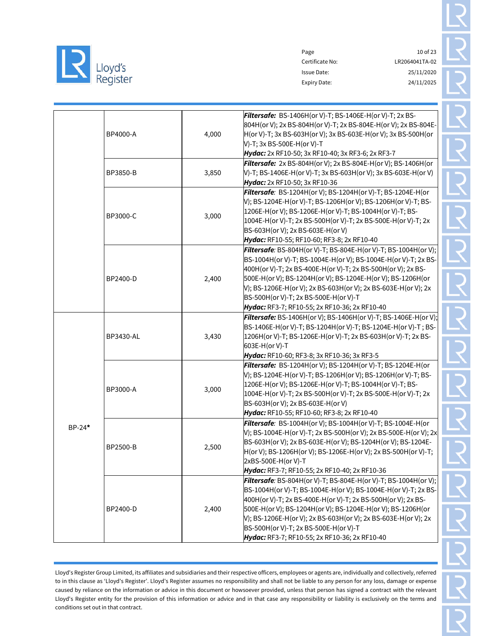

|          |                  |       | Filtersafe: BS-1406H(or V)-T; BS-1406E-H(or V)-T; 2x BS-<br>804H(or V); 2x BS-804H(or V)-T; 2x BS-804E-H(or V); 2x BS-804E-     |  |
|----------|------------------|-------|---------------------------------------------------------------------------------------------------------------------------------|--|
|          | BP4000-A         | 4,000 | H(or V)-T; 3x BS-603H(or V); 3x BS-603E-H(or V); 3x BS-500H(or<br>V)-T; 3x BS-500E-H(or V)-T                                    |  |
|          |                  |       | Hydac: 2x RF10-50; 3x RF10-40; 3x RF3-6; 2x RF3-7                                                                               |  |
|          |                  |       | <b>Filtersafe:</b> 2x BS-804H(or V); 2x BS-804E-H(or V); BS-1406H(or                                                            |  |
|          | BP3850-B         | 3,850 | V)-T; BS-1406E-H(or V)-T; 3x BS-603H(or V); 3x BS-603E-H(or V)                                                                  |  |
|          |                  |       | Hydac: 2x RF10-50; 3x RF10-36                                                                                                   |  |
|          |                  |       | Filtersafe: BS-1204H(or V); BS-1204H(or V)-T; BS-1204E-H(or                                                                     |  |
|          |                  |       | V); BS-1204E-H(or V)-T; BS-1206H(or V); BS-1206H(or V)-T; BS-                                                                   |  |
|          | BP3000-C         | 3,000 | 1206E-H(or V); BS-1206E-H(or V)-T; BS-1004H(or V)-T; BS-                                                                        |  |
|          |                  |       | 1004E-H(or V)-T; 2x BS-500H(or V)-T; 2x BS-500E-H(or V)-T; 2x                                                                   |  |
|          |                  |       | BS-603H(or V); 2x BS-603E-H(or V)<br>Hydac: RF10-55; RF10-60; RF3-8; 2x RF10-40                                                 |  |
|          |                  |       | <b>Filtersafe</b> : BS-804H(or V)-T; BS-804E-H(or V)-T; BS-1004H(or V);                                                         |  |
|          |                  |       | BS-1004H(or V)-T; BS-1004E-H(or V); BS-1004E-H(or V)-T; 2x BS-                                                                  |  |
|          |                  |       | 400H(or V)-T; 2x BS-400E-H(or V)-T; 2x BS-500H(or V); 2x BS-                                                                    |  |
|          | BP2400-D         | 2,400 | 500E-H(or V); BS-1204H(or V); BS-1204E-H(or V); BS-1206H(or                                                                     |  |
|          |                  |       | V); BS-1206E-H(or V); 2x BS-603H(or V); 2x BS-603E-H(or V); 2x                                                                  |  |
|          |                  |       | BS-500H(or V)-T; 2x BS-500E-H(or V)-T                                                                                           |  |
|          |                  |       | Hydac: RF3-7; RF10-55; 2x RF10-36; 2x RF10-40                                                                                   |  |
|          |                  |       | Filtersafe: BS-1406H(or V); BS-1406H(or V)-T; BS-1406E-H(or V);                                                                 |  |
|          |                  |       | BS-1406E-H(or V)-T; BS-1204H(or V)-T; BS-1204E-H(or V)-T; BS-                                                                   |  |
|          | <b>BP3430-AL</b> | 3,430 | 1206H(or V)-T; BS-1206E-H(or V)-T; 2x BS-603H(or V)-T; 2x BS-                                                                   |  |
|          |                  |       | 603E-H(or V)-T                                                                                                                  |  |
|          |                  |       | Hydac: RF10-60; RF3-8; 3x RF10-36; 3x RF3-5                                                                                     |  |
|          |                  |       | Filtersafe: BS-1204H(or V); BS-1204H(or V)-T; BS-1204E-H(or                                                                     |  |
|          |                  |       | V); BS-1204E-H(or V)-T; BS-1206H(or V); BS-1206H(or V)-T; BS-                                                                   |  |
|          | BP3000-A         | 3,000 | 1206E-H(or V); BS-1206E-H(or V)-T; BS-1004H(or V)-T; BS-                                                                        |  |
|          |                  |       | 1004E-H(or V)-T; 2x BS-500H(or V)-T; 2x BS-500E-H(or V)-T; 2x                                                                   |  |
|          |                  |       | BS-603H(or V); 2x BS-603E-H(or V)                                                                                               |  |
|          |                  |       | Hydac: RF10-55; RF10-60; RF3-8; 2x RF10-40                                                                                      |  |
| $BP-24*$ |                  |       | Filtersafe: BS-1004H(or V); BS-1004H(or V)-T; BS-1004E-H(or<br>V); BS-1004E-H(or V)-T; 2x BS-500H(or V); 2x BS-500E-H(or V); 2x |  |
|          |                  |       | BS-603H(or V); 2x BS-603E-H(or V); BS-1204H(or V); BS-1204E-                                                                    |  |
|          | BP2500-B         | 2,500 | H(or V); BS-1206H(or V); BS-1206E-H(or V); 2x BS-500H(or V)-T;                                                                  |  |
|          |                  |       | 2xBS-500E-H(or V)-T                                                                                                             |  |
|          |                  |       | Hydac: RF3-7; RF10-55; 2x RF10-40; 2x RF10-36                                                                                   |  |
|          |                  |       | <b>Filtersafe</b> : BS-804H(or V)-T; BS-804E-H(or V)-T; BS-1004H(or V);                                                         |  |
|          |                  |       | BS-1004H(or V)-T; BS-1004E-H(or V); BS-1004E-H(or V)-T; 2x BS-                                                                  |  |
|          |                  |       | 400H(or V)-T; 2x BS-400E-H(or V)-T; 2x BS-500H(or V); 2x BS-                                                                    |  |
|          | BP2400-D         | 2,400 | 500E-H(or V); BS-1204H(or V); BS-1204E-H(or V); BS-1206H(or                                                                     |  |
|          |                  |       | V); BS-1206E-H(or V); 2x BS-603H(or V); 2x BS-603E-H(or V); 2x                                                                  |  |
|          |                  |       | BS-500H(or V)-T; 2x BS-500E-H(or V)-T                                                                                           |  |
|          |                  |       | Hydac: RF3-7; RF10-55; 2x RF10-36; 2x RF10-40                                                                                   |  |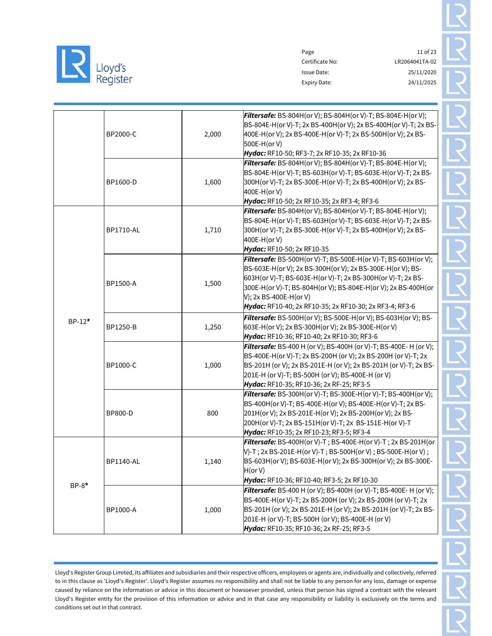

Page 11 of 23 Certificate No: LR2064041TA-02 Issue Date: 25/11/2020 Expiry Date: 24/11/2025

|         | BP2000-C         | 2,000 | <b>Filtersafe:</b> BS-804H(or V); BS-804H(or V)-T; BS-804E-H(or V);<br>BS-804E-H(or V)-T; 2x BS-400H(or V); 2x BS-400H(or V)-T; 2x BS-<br>400E-H(or V); 2x BS-400E-H(or V)-T; 2x BS-500H(or V); 2x BS-<br>500E-H(or V)<br>Hydac: RF10-50; RF3-7; 2x RF10-35; 2x RF10-36                                                                                                           |
|---------|------------------|-------|-----------------------------------------------------------------------------------------------------------------------------------------------------------------------------------------------------------------------------------------------------------------------------------------------------------------------------------------------------------------------------------|
|         | BP1600-D         | 1,600 | <b>Filtersafe:</b> BS-804H(or V); BS-804H(or V)-T; BS-804E-H(or V);<br>BS-804E-H(or V)-T; BS-603H(or V)-T; BS-603E-H(or V)-T; 2x BS-<br>300H(or V)-T; 2x BS-300E-H(or V)-T; 2x BS-400H(or V); 2x BS-<br>400E-H(or V)<br>Hydac: RF10-50; 2x RF10-35; 2x RF3-4; RF3-6                                                                                                               |
|         | <b>BP1710-AL</b> | 1,710 | <b>Filtersafe:</b> BS-804H(or V); BS-804H(or V)-T; BS-804E-H(or V);<br>BS-804E-H(or V)-T; BS-603H(or V)-T; BS-603E-H(or V)-T; 2x BS-<br>300H(or V)-T; 2x BS-300E-H(or V)-T; 2x BS-400H(or V); 2x BS-<br>400E-H(or V)<br>Hydac: RF10-50; 2x RF10-35                                                                                                                                |
| BP-12*  | BP1500-A         | 1,500 | <b>Filtersafe:</b> BS-500H(or V)-T; BS-500E-H(or V)-T; BS-603H(or V);<br>BS-603E-H(or V); 2x BS-300H(or V); 2x BS-300E-H(or V); BS-<br>603H(or V)-T; BS-603E-H(or V)-T; 2x BS-300H(or V)-T; 2x BS-<br>300E-H(or V)-T;            BS-804H(or V);            BS-804E-H(or V);    2x BS-400H(or<br>V); 2x BS-400E-H(or V)<br>Hydac: RF10-40; 2x RF10-35; 2x RF10-30; 2x RF3-4; RF3-6 |
|         | <b>BP1250-B</b>  | 1,250 | <b>Filtersafe:</b> BS-500H(or V); BS-500E-H(or V); BS-603H(or V); BS-<br>603E-H(or V); 2x BS-300H(or V); 2x BS-300E-H(or V)<br>Hydac: RF10-36; RF10-40; 2x RF10-30; RF3-6                                                                                                                                                                                                         |
|         | BP1000-C         | 1,000 | <b>Filtersafe:</b> BS-400 H (or V); BS-400H (or V)-T; BS-400E- H (or V);<br>BS-400E-H(or V)-T; 2x BS-200H (or V); 2x BS-200H (or V)-T; 2x<br>BS-201H (or V); 2x BS-201E-H (or V); 2x BS-201H (or V)-T; 2x BS-<br>201E-H (or V)-T; BS-500H (or V); BS-400E-H (or V)<br>Hydac: RF10-35; RF10-36; 2x RF-25; RF3-5                                                                    |
|         | BP800-D          | 800   | <b>Filtersafe:</b> BS-300H(or V)-T; BS-300E-H(or V)-T; BS-400H(or V);<br>BS-400H(or V)-T; BS-400E-H(or V); BS-400E-H(or V)-T; 2x BS-<br>201H(or V); 2x BS-201E-H(or V); 2x BS-200H(or V); 2x BS-<br>200H(or V)-T; 2x BS-151H(or V)-T; 2x BS-151E-H(or V)-T<br>Hydac: RF10-35; 2x RF10-23; RF3-5; RF3-4                                                                            |
| $BP-8*$ | <b>BP1140-AL</b> | 1,140 | <b>Filtersafe:</b> BS-400H(or V)-T; BS-400E-H(or V)-T; 2x BS-201H(or<br>V)-T; 2x BS-201E-H(or V)-T; BS-500H(or V); BS-500E-H(or V);<br>BS-603H(or V); BS-603E-H(or V); 2x BS-300H(or V); 2x BS-300E-<br>H(or V)<br>Hydac: RF10-36; RF10-40; RF3-5; 2x RF10-30                                                                                                                     |
|         | BP1000-A         | 1,000 | <b>Filtersafe:</b> BS-400 H (or V); BS-400H (or V)-T; BS-400E- H (or V);<br>BS-400E-H(or V)-T; 2x BS-200H (or V); 2x BS-200H (or V)-T; 2x<br>BS-201H (or V); 2x BS-201E-H (or V); 2x BS-201H (or V)-T; 2x BS-<br>201E-H (or V)-T; BS-500H (or V); BS-400E-H (or V)<br>Hydac: RF10-35; RF10-36; 2x RF-25; RF3-5                                                                    |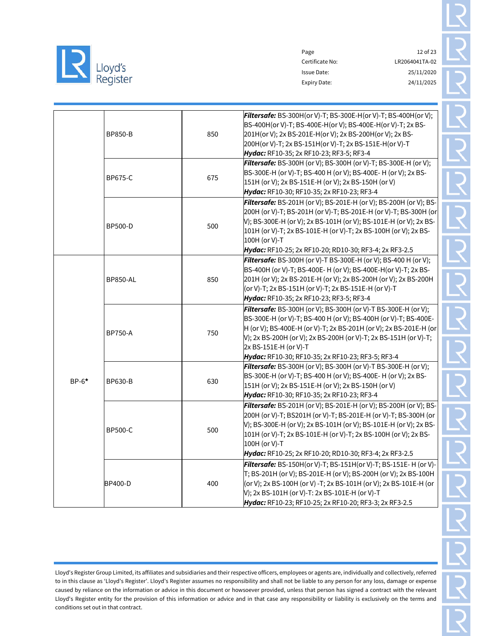

Certificate No: LR2064041TA-02 Issue Date: 25/11/2020 Expiry Date: 24/11/2025

Page 12 of 23

|         | <b>BP850-B</b>  | 850 | <b>Filtersafe:</b> BS-300H(or V)-T; BS-300E-H(or V)-T; BS-400H(or V);<br>BS-400H(or V)-T; BS-400E-H(or V); BS-400E-H(or V)-T; 2x BS-<br>201H(or V); 2x BS-201E-H(or V); 2x BS-200H(or V); 2x BS-<br>200H(or V)-T; 2x BS-151H(or V)-T; 2x BS-151E-H(or V)-T<br>Hydac: RF10-35; 2x RF10-23; RF3-5; RF3-4                                                          |
|---------|-----------------|-----|-----------------------------------------------------------------------------------------------------------------------------------------------------------------------------------------------------------------------------------------------------------------------------------------------------------------------------------------------------------------|
|         | <b>BP675-C</b>  | 675 | Filtersafe: BS-300H (or V); BS-300H (or V)-T; BS-300E-H (or V);<br>BS-300E-H (or V)-T; BS-400 H (or V); BS-400E-H (or V); 2x BS-<br>151H (or V); 2x BS-151E-H (or V); 2x BS-150H (or V)<br>Hydac: RF10-30; RF10-35; 2x RF10-23; RF3-4                                                                                                                           |
|         | <b>BP500-D</b>  | 500 | <b>Filtersafe:</b> BS-201H (or V); BS-201E-H (or V); BS-200H (or V); BS-<br>200H (or V)-T; BS-201H (or V)-T; BS-201E-H (or V)-T; BS-300H (or<br>V); BS-300E-H (or V); 2x BS-101H (or V); BS-101E-H (or V); 2x BS-<br>101H (or V)-T; 2x BS-101E-H (or V)-T; 2x BS-100H (or V); 2x BS-<br>100H (or V)-T<br>Hydac: RF10-25; 2x RF10-20; RD10-30; RF3-4; 2x RF3-2.5 |
|         | <b>BP850-AL</b> | 850 | <b>Filtersafe:</b> BS-300H (or V)-T BS-300E-H (or V); BS-400 H (or V);<br>BS-400H (or V)-T; BS-400E- H (or V); BS-400E-H(or V)-T; 2x BS-<br>201H (or V); 2x BS-201E-H (or V); 2x BS-200H (or V); 2x BS-200H<br>(or V)-T; 2x BS-151H (or V)-T; 2x BS-151E-H (or V)-T<br>Hydac: RF10-35; 2x RF10-23; RF3-5; RF3-4                                                 |
|         | <b>BP750-A</b>  | 750 | <b>Filtersafe:</b> BS-300H (or V); BS-300H (or V)-T BS-300E-H (or V);<br>BS-300E-H (or V)-T; BS-400 H (or V); BS-400H (or V)-T; BS-400E-<br>H (or V); BS-400E-H (or V)-T; 2x BS-201H (or V); 2x BS-201E-H (or<br>V); 2x BS-200H (or V); 2x BS-200H (or V)-T; 2x BS-151H (or V)-T;<br>2x BS-151E-H (or V)-T<br>Hydac: RF10-30; RF10-35; 2x RF10-23; RF3-5; RF3-4 |
| $BP-6*$ | <b>BP630-B</b>  | 630 | <b>Filtersafe:</b> BS-300H (or V); BS-300H (or V)-T BS-300E-H (or V);<br>BS-300E-H (or V)-T; BS-400 H (or V); BS-400E-H (or V); 2x BS-<br>151H (or V); 2x BS-151E-H (or V); 2x BS-150H (or V)<br>Hydac: RF10-30; RF10-35; 2x RF10-23; RF3-4                                                                                                                     |
|         | <b>BP500-C</b>  | 500 | <b>Filtersafe:</b> BS-201H (or V); BS-201E-H (or V); BS-200H (or V); BS-<br>200H (or V)-T; BS201H (or V)-T; BS-201E-H (or V)-T; BS-300H (or<br>V); BS-300E-H (or V); 2x BS-101H (or V); BS-101E-H (or V); 2x BS-<br>101H (or V)-T; 2x BS-101E-H (or V)-T; 2x BS-100H (or V); 2x BS-<br>100H (or V)-T<br>Hydac: RF10-25; 2x RF10-20; RD10-30; RF3-4; 2x RF3-2.5  |
|         | <b>BP400-D</b>  | 400 | Filtersafe: BS-150H(or V)-T; BS-151H(or V)-T; BS-151E- H (or V)-<br>T; BS-201H (or V); BS-201E-H (or V); BS-200H (or V); 2x BS-100H<br>(or V); 2x BS-100H (or V) -T; 2x BS-101H (or V); 2x BS-101E-H (or<br>V); 2x BS-101H (or V)-T: 2x BS-101E-H (or V)-T<br>Hydac: RF10-23; RF10-25; 2x RF10-20; RF3-3; 2x RF3-2.5                                            |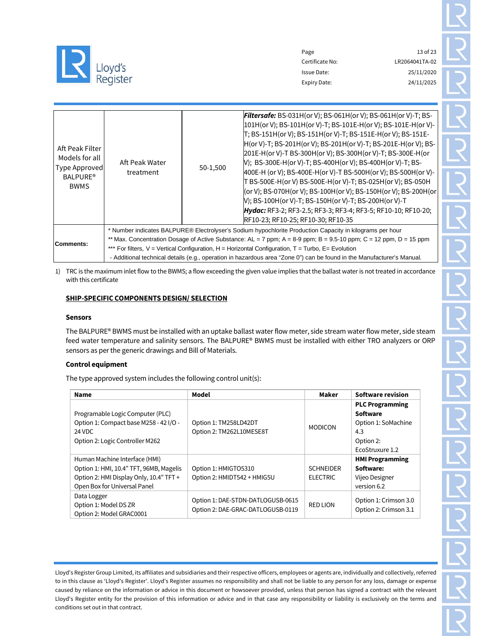

Page 13 of 23 Certificate No: LR2064041TA-02 Issue Date: 25/11/2020 Expiry Date: 24/11/2025

|                                                                       |                             |          | <b>Filtersafe:</b> BS-031H(or V); BS-061H(or V); BS-061H(or V)-T; BS-                                                       |  |  |  |  |  |  |  |  |
|-----------------------------------------------------------------------|-----------------------------|----------|-----------------------------------------------------------------------------------------------------------------------------|--|--|--|--|--|--|--|--|
|                                                                       |                             |          | 101H(or V); BS-101H(or V)-T; BS-101E-H(or V); BS-101E-H(or V)-                                                              |  |  |  |  |  |  |  |  |
|                                                                       | Aft Peak Water<br>treatment |          | T; BS-151H(or V); BS-151H(or V)-T; BS-151E-H(or V); BS-151E-                                                                |  |  |  |  |  |  |  |  |
| Aft Peak Filter<br>Models for all<br>Type Approved<br><b>BALPURE®</b> |                             |          | H(or V)-T; BS-201H(or V); BS-201H(or V)-T; BS-201E-H(or V); BS-                                                             |  |  |  |  |  |  |  |  |
|                                                                       |                             | 50-1,500 | 201E-H(or V)-T BS-300H(or V); BS-300H(or V)-T; BS-300E-H(or                                                                 |  |  |  |  |  |  |  |  |
|                                                                       |                             |          | V); BS-300E-H(or V)-T; BS-400H(or V); BS-400H(or V)-T; BS-                                                                  |  |  |  |  |  |  |  |  |
|                                                                       |                             |          | 400E-H (or V); BS-400E-H(or V)-T BS-500H(or V); BS-500H(or V)-                                                              |  |  |  |  |  |  |  |  |
|                                                                       |                             |          | T BS-500E-H(or V)            BS-500E-H(or V)-T;            BS-025H(or V);    BS-050H                                        |  |  |  |  |  |  |  |  |
| <b>BWMS</b>                                                           |                             |          | (or V); BS-070H(or V); BS-100H(or V); BS-150H(or V); BS-200H(or                                                             |  |  |  |  |  |  |  |  |
|                                                                       |                             |          | V); BS-100H(or V)-T; BS-150H(or V)-T; BS-200H(or V)-T                                                                       |  |  |  |  |  |  |  |  |
|                                                                       |                             |          | <b>Hydac:</b> RF3-2; RF3-2.5; RF3-3; RF3-4; RF3-5; RF10-10; RF10-20;                                                        |  |  |  |  |  |  |  |  |
|                                                                       |                             |          | RF10-23; RF10-25; RF10-30; RF10-35                                                                                          |  |  |  |  |  |  |  |  |
|                                                                       |                             |          | * Number indicates BALPURE® Electrolyser's Sodium hypochlorite Production Capacity in kilograms per hour                    |  |  |  |  |  |  |  |  |
|                                                                       |                             |          | ** Max. Concentration Dosage of Active Substance: $AL = 7$ ppm; $A = 8-9$ ppm; $B = 9.5-10$ ppm; $C = 12$ ppm, $D = 15$ ppm |  |  |  |  |  |  |  |  |
| Comments:                                                             |                             |          | *** For filters, V = Vertical Configuration, H = Horizontal Configuration, T = Turbo, E= Evolution                          |  |  |  |  |  |  |  |  |
|                                                                       |                             |          | - Additional technical details (e.g., operation in hazardous area "Zone 0") can be found in the Manufacturer's Manual.      |  |  |  |  |  |  |  |  |

1) TRC is the maximum inlet flow to the BWMS; a flow exceeding the given value implies that the ballast water is not treated in accordance with this certificate

### SHIP-SPECIFIC COMPONENTS DESIGN/ SELECTION

#### Sensors

The BALPURE® BWMS must be installed with an uptake ballast water flow meter, side stream water flow meter, side steam feed water temperature and salinity sensors. The BALPURE® BWMS must be installed with either TRO analyzers or ORP sensors as per the generic drawings and Bill of Materials.

# Control equipment

The type approved system includes the following control unit(s):

| <b>Name</b>                                                                                                                                         | Model                                                                  | Maker                               | <b>Software revision</b>                                                                         |
|-----------------------------------------------------------------------------------------------------------------------------------------------------|------------------------------------------------------------------------|-------------------------------------|--------------------------------------------------------------------------------------------------|
| Programable Logic Computer (PLC)<br>Option 1: Compact base M258 - 42 I/O -<br>24 VDC<br>Option 2: Logic Controller M262                             | Option 1: TM258LD42DT<br>Option 2: TM262L10MESE8T                      | <b>MODICON</b>                      | <b>PLC Programming</b><br>Software<br>Option 1: SoMachine<br>4.3<br>Option 2:<br>EcoStruxure 1.2 |
| Human Machine Interface (HMI)<br>Option 1: HMI, 10.4" TFT, 96MB, Magelis<br>Option 2: HMI Display Only, 10.4" TFT +<br>Open Box for Universal Panel | Option 1: HMIGTO5310<br>Option 2: HMIDT542 + HMIG5U                    | <b>SCHNEIDER</b><br><b>ELECTRIC</b> | <b>HMI Programming</b><br>Software:<br>Vijeo Designer<br>version 6.2                             |
| Data Logger<br>Option 1: Model DS ZR<br>Option 2: Model GRAC0001                                                                                    | Option 1: DAE-STDN-DATLOGUSB-0615<br>Option 2: DAE-GRAC-DATLOGUSB-0119 | <b>RED LION</b>                     | Option 1: Crimson 3.0<br>Option 2: Crimson 3.1                                                   |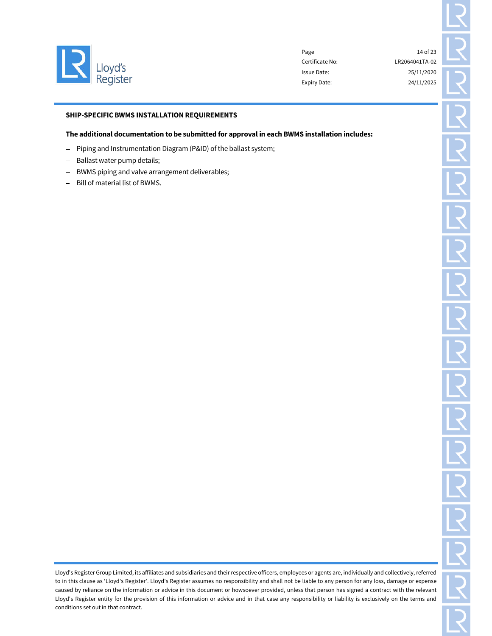

Page 14 of 23 Certificate No: LR2064041TA-02 Issue Date: 25/11/2020 Expiry Date: 24/11/2025

## SHIP-SPECIFIC BWMS INSTALLATION REQUIREMENTS

#### The additional documentation to be submitted for approval in each BWMS installation includes:

- Piping and Instrumentation Diagram (P&ID) of the ballast system;
- Ballast water pump details;
- BWMS piping and valve arrangement deliverables;
- Bill of material list of BWMS.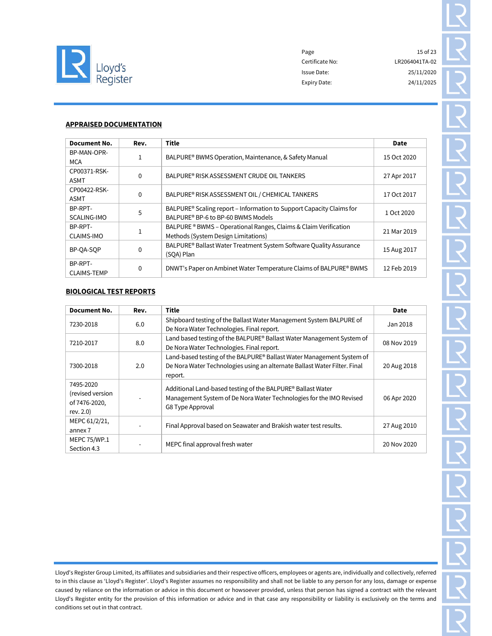

# APPRAISED DOCUMENTATION

| Document No.                  | Rev.         | <b>Title</b>                                                                     | Date        |
|-------------------------------|--------------|----------------------------------------------------------------------------------|-------------|
| BP-MAN-OPR-                   |              |                                                                                  |             |
| MCA                           | $\mathbf{1}$ | BALPURE® BWMS Operation, Maintenance, & Safety Manual                            | 15 Oct 2020 |
| CP00371-RSK-<br><b>ASMT</b>   | $\Omega$     | BALPURE® RISK ASSESSMENT CRUDE OIL TANKERS                                       | 27 Apr 2017 |
| CP00422-RSK-<br>ASMT          | $\Omega$     | BALPURE® RISK ASSESSMENT OIL / CHEMICAL TANKERS                                  | 17 Oct 2017 |
| BP-RPT-                       | 5            | BALPURE <sup>®</sup> Scaling report – Information to Support Capacity Claims for | 1 Oct 2020  |
| SCALING-IMO                   |              | BALPURE® BP-6 to BP-60 BWMS Models                                               |             |
| BP-RPT-                       |              | BALPURE ® BWMS – Operational Ranges, Claims & Claim Verification                 | 21 Mar 2019 |
| <b>CLAIMS-IMO</b>             |              | Methods (System Design Limitations)                                              |             |
| BP-OA-SOP                     | $\Omega$     | BALPURE® Ballast Water Treatment System Software Quality Assurance<br>(SOA) Plan | 15 Aug 2017 |
| BP-RPT-<br><b>CLAIMS-TEMP</b> | $\Omega$     | DNWT's Paper on Ambinet Water Temperature Claims of BALPURE® BWMS                | 12 Feb 2019 |

# BIOLOGICAL TEST REPORTS

| <b>Document No.</b>                                         | Rev. | Title                                                                                                                                                         | Date        |
|-------------------------------------------------------------|------|---------------------------------------------------------------------------------------------------------------------------------------------------------------|-------------|
| 7230-2018                                                   | 6.0  | Shipboard testing of the Ballast Water Management System BALPURE of<br>De Nora Water Technologies. Final report.                                              | Jan 2018    |
| 7210-2017                                                   | 8.0  | Land based testing of the BALPURE® Ballast Water Management System of<br>De Nora Water Technologies. Final report.                                            | 08 Nov 2019 |
| 7300-2018                                                   | 2.0  | Land-based testing of the BALPURE® Ballast Water Management System of<br>De Nora Water Technologies using an alternate Ballast Water Filter. Final<br>report. | 20 Aug 2018 |
| 7495-2020<br>(revised version<br>of 7476-2020,<br>rev. 2.0) |      | Additional Land-based testing of the BALPURE® Ballast Water<br>Management System of De Nora Water Technologies for the IMO Revised<br>G8 Type Approval        | 06 Apr 2020 |
| MEPC 61/2/21,<br>annex 7                                    |      | Final Approval based on Seawater and Brakish water test results.                                                                                              | 27 Aug 2010 |
| MEPC 75/WP.1<br>Section 4.3                                 |      | MEPC final approval fresh water                                                                                                                               | 20 Nov 2020 |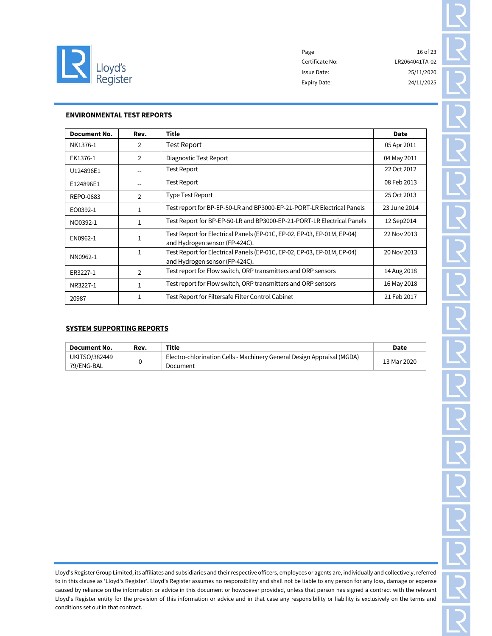

Page 16 of 23 Certificate No: LR2064041TA-02 Issue Date: 25/11/2020 Expiry Date: 24/11/2025

# ENVIRONMENTAL TEST REPORTS

| <b>Document No.</b> | Rev.           | Title                                                                                                     | Date         |
|---------------------|----------------|-----------------------------------------------------------------------------------------------------------|--------------|
| NK1376-1            | 2              | Test Report                                                                                               | 05 Apr 2011  |
| EK1376-1            | 2              | Diagnostic Test Report                                                                                    | 04 May 2011  |
| U124896E1           |                | Test Report                                                                                               | 22 Oct 2012  |
| E124896E1           |                | <b>Test Report</b>                                                                                        | 08 Feb 2013  |
| REPO-0683           | 2              | Type Test Report                                                                                          | 25 Oct 2013  |
| EO0392-1            |                | Test report for BP-EP-50-LR and BP3000-EP-21-PORT-LR Electrical Panels                                    | 23 June 2014 |
| NO0392-1            |                | Test Report for BP-EP-50-LR and BP3000-EP-21-PORT-LR Electrical Panels                                    | 12 Sep2014   |
| EN0962-1            |                | Test Report for Electrical Panels (EP-01C, EP-02, EP-03, EP-01M, EP-04)<br>and Hydrogen sensor (FP-424C). | 22 Nov 2013  |
| NN0962-1            |                | Test Report for Electrical Panels (EP-01C, EP-02, EP-03, EP-01M, EP-04)<br>and Hydrogen sensor (FP-424C). | 20 Nov 2013  |
| ER3227-1            | $\overline{2}$ | Test report for Flow switch, ORP transmitters and ORP sensors                                             | 14 Aug 2018  |
| NR3227-1            |                | Test report for Flow switch, ORP transmitters and ORP sensors                                             | 16 May 2018  |
| 20987               |                | Test Report for Filtersafe Filter Control Cabinet                                                         | 21 Feb 2017  |

#### SYSTEM SUPPORTING REPORTS

conditions set out in that contract.

| ้ Document No. | Rev. | Title                                                                  | Date        |
|----------------|------|------------------------------------------------------------------------|-------------|
| UKITSO/382449  |      | Electro-chlorination Cells - Machinery General Design Appraisal (MGDA) | 13 Mar 2020 |
| 79/ENG-BAL     |      | Document                                                               |             |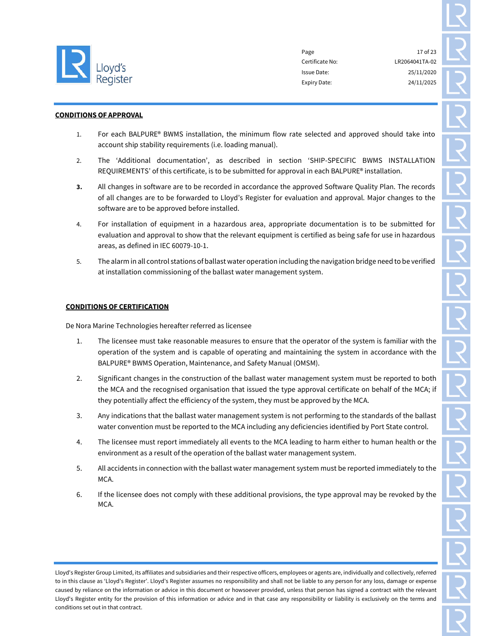

Page 17 of 23 Certificate No: LR2064041TA-02 Issue Date: 25/11/2020 Expiry Date: 24/11/2025

#### CONDITIONS OF APPROVAL

- 1. For each BALPURE® BWMS installation, the minimum flow rate selected and approved should take into account ship stability requirements (i.e. loading manual).
- 2. The 'Additional documentation', as described in section 'SHIP-SPECIFIC BWMS INSTALLATION REQUIREMENTS' of this certificate, is to be submitted for approval in each BALPURE® installation.
- 3. All changes in software are to be recorded in accordance the approved Software Quality Plan. The records of all changes are to be forwarded to Lloyd's Register for evaluation and approval. Major changes to the software are to be approved before installed.
- 4. For installation of equipment in a hazardous area, appropriate documentation is to be submitted for evaluation and approval to show that the relevant equipment is certified as being safe for use in hazardous areas, as defined in IEC 60079-10-1.
- 5. The alarm in all control stations of ballast water operation including the navigation bridge need to be verified at installation commissioning of the ballast water management system.

# CONDITIONS OF CERTIFICATION

De Nora Marine Technologies hereafter referred as licensee

- 1. The licensee must take reasonable measures to ensure that the operator of the system is familiar with the operation of the system and is capable of operating and maintaining the system in accordance with the BALPURE® BWMS Operation, Maintenance, and Safety Manual (OMSM).
- 2. Significant changes in the construction of the ballast water management system must be reported to both the MCA and the recognised organisation that issued the type approval certificate on behalf of the MCA; if they potentially affect the efficiency of the system, they must be approved by the MCA.
- 3. Any indications that the ballast water management system is not performing to the standards of the ballast water convention must be reported to the MCA including any deficiencies identified by Port State control.
- 4. The licensee must report immediately all events to the MCA leading to harm either to human health or the environment as a result of the operation of the ballast water management system.
- 5. All accidents in connection with the ballast water management system must be reported immediately to the MCA.
- 6. If the licensee does not comply with these additional provisions, the type approval may be revoked by the MCA.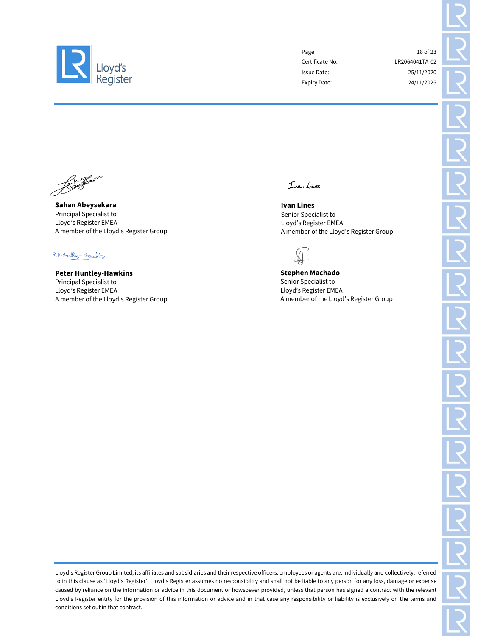

Page 18 of 23 Certificate No: LR2064041TA-02 Issue Date: 25/11/2020 Expiry Date: 24/11/2025

Sahan Abeysekara Principal Specialist to Lloyd's Register EMEA A member of the Lloyd's Register Group

P.A. Huntley - Hosculars

Peter Huntley-Hawkins Principal Specialist to Lloyd's Register EMEA A member of the Lloyd's Register Group

Ivan Lines

Ivan Lines Senior Specialist to Lloyd's Register EMEA A member of the Lloyd's Register Group



Stephen Machado Senior Specialist to Lloyd's Register EMEA A member of the Lloyd's Register Group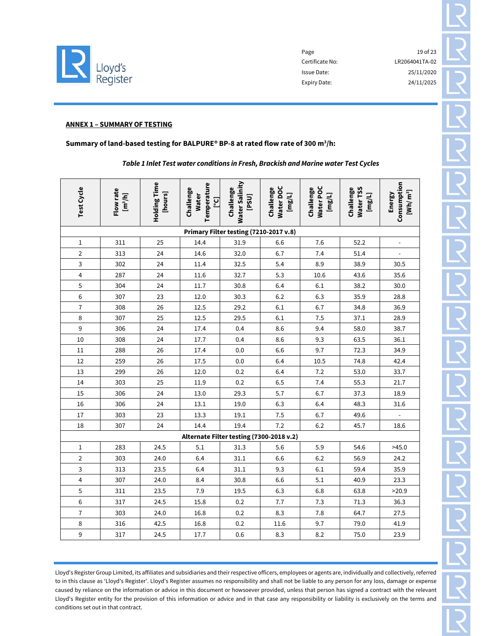

Page 19 of 23 Certificate No: LR2064041TA-02 Issue Date: 25/11/2020 Expiry Date: 24/11/2025

#### ANNEX 1 – SUMMARY OF TESTING

#### Summary of land-based testing for BALPURE® BP-8 at rated flow rate of 300  $m^3/h$ :

*Table 1 Inlet Test water conditions in Fresh, Brackish and Marine water Test Cycles*

| Test Cycle                             | Flow rate<br>[m <sup>3</sup> /h] | Holding Time<br>[hours] | Temperature<br>Challenge<br><b>Water</b><br>$[5\circ]$ | Water Salinity<br>Challenge<br>[PSU] | <b>Water DOC</b><br>Challenge<br>[mg/L] | <b>Water POC</b><br>Challenge<br>[mg/L] | <b>Water TSS</b><br>Challenge<br>[mg/L] | Consumption<br>$[Wh/m^3]$<br>Energy |
|----------------------------------------|----------------------------------|-------------------------|--------------------------------------------------------|--------------------------------------|-----------------------------------------|-----------------------------------------|-----------------------------------------|-------------------------------------|
| Primary Filter testing (7210-2017 v.8) |                                  |                         |                                                        |                                      |                                         |                                         |                                         |                                     |
| $\mathbf{1}$                           | 311                              | 25                      | 14.4                                                   | 31.9                                 | 6.6                                     | 7.6                                     | 52.2                                    |                                     |
| $\overline{2}$                         | 313                              | 24                      | 14.6                                                   | 32.0                                 | 6.7                                     | 7.4                                     | 51.4                                    |                                     |
| 3                                      | 302                              | 24                      | 11.4                                                   | 32.5                                 | 5.4                                     | 8.9                                     | 38.9                                    | 30.5                                |
| 4                                      | 287                              | 24                      | 11.6                                                   | 32.7                                 | 5.3                                     | 10.6                                    | 43.6                                    | 35.6                                |
| 5                                      | 304                              | 24                      | 11.7                                                   | 30.8                                 | 6.4                                     | 6.1                                     | 38.2                                    | 30.0                                |
| $\,$ 6 $\,$                            | 307                              | 23                      | 12.0                                                   | 30.3                                 | $6.2\,$                                 | 6.3                                     | 35.9                                    | 28.8                                |
| $\overline{7}$                         | 308                              | 26                      | 12.5                                                   | 29.2                                 | 6.1                                     | 6.7                                     | 34.8                                    | 36.9                                |
| $\, 8$                                 | 307                              | 25                      | 12.5                                                   | 29.5                                 | $6.1\,$                                 | 7.5                                     | 37.1                                    | 28.9                                |
| $\boldsymbol{9}$                       | 306                              | 24                      | 17.4                                                   | 0.4                                  | 8.6                                     | 9.4                                     | 58.0                                    | 38.7                                |
| 10                                     | 308                              | 24                      | 17.7                                                   | 0.4                                  | 8.6                                     | 9.3                                     | 63.5                                    | 36.1                                |
| 11                                     | 288                              | 26                      | 17.4                                                   | 0.0                                  | 6.6                                     | 9.7                                     | 72.3                                    | 34.9                                |
| 12                                     | 259                              | 26                      | 17.5                                                   | 0.0                                  | 6.4                                     | 10.5                                    | 74.8                                    | 42.4                                |
| 13                                     | 299                              | 26                      | 12.0                                                   | 0.2                                  | 6.4                                     | 7.2                                     | 53.0                                    | 33.7                                |
| 14                                     | 303                              | 25                      | 11.9                                                   | 0.2                                  | 6.5                                     | 7.4                                     | 55.3                                    | 21.7                                |
| 15                                     | 306                              | 24                      | 13.0                                                   | 29.3                                 | 5.7                                     | 6.7                                     | 37.3                                    | 18.9                                |
| 16                                     | 306                              | 24                      | 13.1                                                   | 19.0                                 | 6.3                                     | 6.4                                     | 48.3                                    | 31.6                                |
| 17                                     | 303                              | 23                      | 13.3                                                   | 19.1                                 | 7.5                                     | 6.7                                     | 49.6                                    |                                     |
| 18                                     | 307                              | 24                      | 14.4                                                   | 19.4                                 | 7.2                                     | 6.2                                     | 45.7                                    | 18.6                                |
|                                        |                                  |                         | Alternate Filter testing (7300-2018 v.2)               |                                      |                                         |                                         |                                         |                                     |
| $1\,$                                  | 283                              | 24.5                    | 5.1                                                    | 31.3                                 | 5.6                                     | 5.9                                     | 54.6                                    | >45.0                               |
| $\overline{2}$                         | 303                              | 24.0                    | 6.4                                                    | 31.1                                 | 6.6                                     | 6.2                                     | 56.9                                    | 24.2                                |
| 3                                      | 313                              | 23.5                    | 6.4                                                    | 31.1                                 | 9.3                                     | 6.1                                     | 59.4                                    | 35.9                                |
| $\overline{\mathbf{4}}$                | 307                              | 24.0                    | 8.4                                                    | 30.8                                 | 6.6                                     | 5.1                                     | 40.9                                    | 23.3                                |
| 5                                      | 311                              | 23.5                    | 7.9                                                    | 19.5                                 | 6.3                                     | 6.8                                     | 63.8                                    | >20.9                               |
| $\sqrt{6}$                             | 317                              | 24.5                    | 15.8                                                   | 0.2                                  | 7.7                                     | 7.3                                     | 71.3                                    | 36.3                                |
| $\bf 7$                                | 303                              | 24.0                    | 16.8                                                   | 0.2                                  | 8.3                                     | 7.8                                     | 64.7                                    | 27.5                                |
| $\, 8$                                 | 316                              | 42.5                    | 16.8                                                   | 0.2                                  | 11.6                                    | 9.7                                     | 79.0                                    | 41.9                                |
| 9                                      | 317                              | 24.5                    | 17.7                                                   | 0.6                                  | 8.3                                     | 8.2                                     | 75.0                                    | 23.9                                |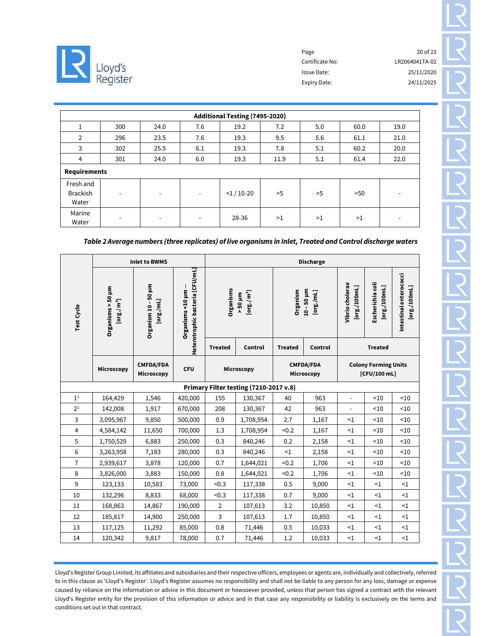

|                                       | Additional Testing (7495-2020) |                          |                          |             |      |     |      |      |  |  |  |  |
|---------------------------------------|--------------------------------|--------------------------|--------------------------|-------------|------|-----|------|------|--|--|--|--|
| 1                                     | 300                            | 24.0                     | 7.6                      | 19.2        | 7.2  | 5.0 | 60.0 | 19.0 |  |  |  |  |
| 2                                     | 296                            | 23.5                     | 7.6                      | 19.3        | 9.5  | 5.6 | 61.1 | 21.0 |  |  |  |  |
| 3                                     | 302                            | 25.5                     | 6.1                      | 19.3        | 7.8  | 5.1 | 60.2 | 20.0 |  |  |  |  |
| 4                                     | 301                            | 24.0                     | 6.0                      | 19.3        | 11.9 | 5.1 | 61.4 | 22.0 |  |  |  |  |
| <b>Requirements</b>                   |                                |                          |                          |             |      |     |      |      |  |  |  |  |
| Fresh and<br><b>Brackish</b><br>Water | $\overline{\phantom{a}}$       | $\overline{\phantom{a}}$ | $\overline{\phantom{a}}$ | $<$ 1/10-20 | >5   | >5  | >50  |      |  |  |  |  |
| Marine<br>Water                       | $\overline{\phantom{a}}$       | $\overline{\phantom{a}}$ | $\overline{\phantom{a}}$ | 28-36       | >1   | >1  | >1   |      |  |  |  |  |

*Table 2 Average numbers (three replicates) of live organisms in Inlet, Treated and Control discharge waters*

|                                        |                                                                | <b>Inlet to BWMS</b>            |                 | <b>Discharge</b>                                                                                     |           |                                |                              |                                             |                                  |                                        |
|----------------------------------------|----------------------------------------------------------------|---------------------------------|-----------------|------------------------------------------------------------------------------------------------------|-----------|--------------------------------|------------------------------|---------------------------------------------|----------------------------------|----------------------------------------|
| Test Cycle                             | Organisms > 50 µm<br>$\lbrack \text{org.}/\text{ m}^3 \rbrack$ | Organism 10 - 50 µm<br>[org/mL] | Organisms<10 µm | Heterotrophic bacteria [CFU/mL]<br>Organisms<br>$\left[\text{org.}/\text{m}^3\right]$<br>$-50 \mu m$ |           | Organism                       | $10 - 50 \mu m$<br>[org./mL] | Vibrio cholerae<br>[org./100mL]             | Escherichia coli<br>[org./100mL] | Intestinal enterococci<br>[org./100mL] |
|                                        |                                                                |                                 |                 | <b>Treated</b>                                                                                       | Control   | <b>Treated</b>                 | Control                      |                                             | <b>Treated</b>                   |                                        |
|                                        | Microscopy                                                     | <b>CMFDA/FDA</b><br>Microscopy  | <b>CFU</b>      | Microscopy                                                                                           |           | <b>CMFDA/FDA</b><br>Microscopy |                              | <b>Colony Forming Units</b><br>[CFU/100 mL] |                                  |                                        |
| Primary Filter testing (7210-2017 v.8) |                                                                |                                 |                 |                                                                                                      |           |                                |                              |                                             |                                  |                                        |
| 1 <sup>1</sup>                         | 164,429                                                        | 1,546                           | 420,000         | 155                                                                                                  | 130,367   | 40                             | 963                          | $\overline{a}$                              | < 10                             | < 10                                   |
| 2 <sup>1</sup>                         | 142,008                                                        | 1,917                           | 670,000         | 208                                                                                                  | 130,367   | 42                             | 963                          | $\qquad \qquad \blacksquare$                | < 10                             | < 10                                   |
| 3                                      | 3,095,967                                                      | 9,850                           | 500,000         | 0.9                                                                                                  | 1,708,954 | 2.7                            | 1,167                        | $<$ 1                                       | <10                              | < 10                                   |
| 4                                      | 4,584,142                                                      | 11,650                          | 700,000         | 1.3                                                                                                  | 1,708,954 | < 0.2                          | 1,167                        | $\leq 1$                                    | < 10                             | ~10                                    |
| 5                                      | 1,750,529                                                      | 6,883                           | 250,000         | 0.3                                                                                                  | 840,246   | 0.2                            | 2,158                        | $\leq 1$                                    | < 10                             | < 10                                   |
| 6                                      | 3,263,958                                                      | 7,183                           | 280,000         | 0.3                                                                                                  | 840,246   | <1                             | 2,158                        | $\leq$ 1                                    | < 10                             | < 10                                   |
| $\overline{7}$                         | 2,939,617                                                      | 3,878                           | 120,000         | 0.7                                                                                                  | 1,644,021 | < 0.2                          | 1,706                        | ${<}1$                                      | <10                              | ~10                                    |
| 8                                      | 3,826,000                                                      | 3,883                           | 150,000         | 0.8                                                                                                  | 1,644,021 | < 0.2                          | 1,706                        | $\leq$ 1                                    | < 10                             | < 10                                   |
| 9                                      | 123,133                                                        | 10,583                          | 73,000          | < 0.3                                                                                                | 117,338   | 0.5                            | 9,000                        | $\leq$ 1                                    | <1                               | $\leq$ 1                               |
| 10                                     | 132,296                                                        | 8,833                           | 68,000          | < 0.3                                                                                                | 117,338   | 0.7                            | 9,000                        | $\leq$ 1                                    | $\leq$ 1                         | <1                                     |
| 11                                     | 168,863                                                        | 14,867                          | 190,000         | $\overline{2}$                                                                                       | 107,613   | 3.2                            | 10,850                       | ${<}1$                                      | $\leq$ 1                         | $\leq$ 1                               |
| 12                                     | 185,817                                                        | 14,900                          | 250,000         | 3                                                                                                    | 107,613   | 1.7                            | 10,850                       | ${<}1$                                      | $<$ 1                            | <1                                     |
| 13                                     | 117,125                                                        | 11,292                          | 85,000          | 0.8                                                                                                  | 71,446    | 0.5                            | 10,033                       | $\leq$ 1                                    | <1                               | ${<}1$                                 |
| 14                                     | 120,342                                                        | 9,817                           | 78,000          | 0.7                                                                                                  | 71,446    | 1.2                            | 10,033                       | $\leq$ 1                                    | $<$ 1                            | <1                                     |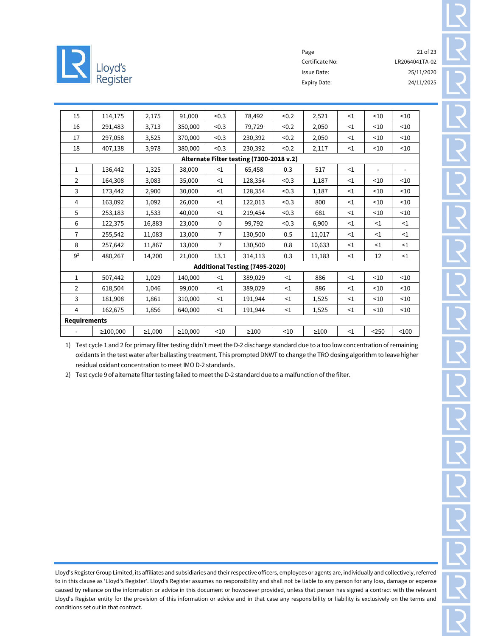

Page 21 of 23 Certificate No: LR2064041TA-02 Issue Date: 25/11/2020 Expiry Date: 24/11/2025

| 15                                                                                                | 114,175        | 2,175        | 91,000        | < 0.3          | 78,492                         | < 0.2    | 2,521      | <1       | < 10     | < 10     |  |
|---------------------------------------------------------------------------------------------------|----------------|--------------|---------------|----------------|--------------------------------|----------|------------|----------|----------|----------|--|
| 16                                                                                                | 291,483        | 3,713        | 350,000       | < 0.3          | 79,729                         | < 0.2    | 2,050      | $\leq$ 1 | < 10     | < 10     |  |
| 17                                                                                                | 297,058        | 3,525        | 370,000       | < 0.3          | 230,392                        | < 0.2    | 2,050      | $\leq$ 1 | < 10     | ~10      |  |
| 18                                                                                                | 407,138        | 3,978        | 380,000       | < 0.3          | 230,392                        | < 0.2    | 2,117      | $\leq$ 1 | < 10     | ~10      |  |
| Alternate Filter testing (7300-2018 v.2)                                                          |                |              |               |                |                                |          |            |          |          |          |  |
| 1<br>136,442<br>1,325<br>38,000<br>65,458<br>0.3<br>517<br>$\leq$ 1<br>$\leq$ 1<br>$\overline{a}$ |                |              |               |                |                                |          |            |          |          |          |  |
| 2                                                                                                 | 164,308        | 3,083        | 35,000        | <1             | 128,354                        | < 0.3    | 1,187      | $\leq$ 1 | $<$ 10   | < 10     |  |
| 3                                                                                                 | 173,442        | 2,900        | 30,000        | <1             | 128,354                        | < 0.3    | 1,187      | $\leq$ 1 | $<$ 10   | ~10      |  |
| 4                                                                                                 | 163,092        | 1,092        | 26,000        | <1             | 122,013                        | < 0.3    | 800        | $\leq 1$ | < 10     | < 10     |  |
| 5                                                                                                 | 253,183        | 1,533        | 40,000        | <1             | 219,454                        | < 0.3    | 681        | $\leq$ 1 | < 10     | ~10      |  |
| 6                                                                                                 | 122,375        | 16,883       | 23,000        | $\mathbf 0$    | 99,792                         | < 0.3    | 6,900      | $\leq$ 1 | $\leq$ 1 | $\leq$ 1 |  |
| $\overline{7}$                                                                                    | 255,542        | 11,083       | 13,000        | $\overline{7}$ | 130,500                        | 0.5      | 11,017     | <1       | <1       | $\leq$ 1 |  |
| 8                                                                                                 | 257,642        | 11,867       | 13,000        | $\overline{7}$ | 130,500                        | 0.8      | 10,633     | $\leq$ 1 | <1       | <1       |  |
| 9 <sup>2</sup>                                                                                    | 480,267        | 14,200       | 21,000        | 13.1           | 314,113                        | 0.3      | 11,183     | $\leq$ 1 | 12       | $\leq$ 1 |  |
|                                                                                                   |                |              |               |                | Additional Testing (7495-2020) |          |            |          |          |          |  |
| $\mathbf{1}$                                                                                      | 507,442        | 1,029        | 140,000       | $\leq 1$       | 389,029                        | <1       | 886        | <1       | < 10     | < 10     |  |
| $\overline{2}$                                                                                    | 618,504        | 1,046        | 99,000        | $\leq 1$       | 389,029                        | <1       | 886        | <1       | < 10     | ~10      |  |
| 3                                                                                                 | 181,908        | 1,861        | 310,000       | $\leq$ 1       | 191,944                        | $\leq$ 1 | 1,525      | $\leq$ 1 | < 10     | < 10     |  |
| $\overline{4}$                                                                                    | 162,675        | 1,856        | 640,000       | $\leq$ 1       | 191,944                        | <1       | 1,525      | $\leq$ 1 | < 10     | < 10     |  |
| <b>Requirements</b>                                                                               |                |              |               |                |                                |          |            |          |          |          |  |
|                                                                                                   | $\geq 100,000$ | $\geq 1,000$ | $\geq 10,000$ | < 10           | $\geq$ 100                     | < 10     | $\geq$ 100 | $\leq$ 1 | $250$    | < 100    |  |

1) Test cycle 1 and 2 for primary filter testing didn't meet the D-2 discharge standard due to a too low concentration of remaining oxidants in the test water after ballasting treatment. This prompted DNWT to change the TRO dosing algorithm to leave higher residual oxidant concentration to meet IMO D-2 standards.

2) Test cycle 9 of alternate filter testing failed to meet the D-2 standard due to a malfunction of the filter.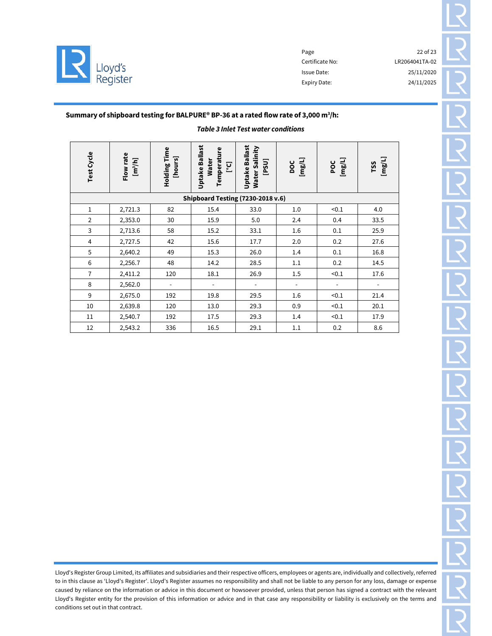

Certificate No: LR2064041TA-02 Issue Date: 25/11/2020 Expiry Date: 24/11/2025

Page 22 of 23

# Summary of shipboard testing for BALPURE® BP-36 at a rated flow rate of 3,000  $m^3/h$ :

# *Table 3 Inlet Test water conditions*

| <b>Test Cycle</b> | Flow rate<br>[m <sup>3</sup> /h] | Holding Time<br>[hours]  | <b>Uptake Ballast</b><br>Temperature<br><b>Water</b><br>[C] | <b>Uptake Ballast</b><br>Water Salinity<br>[PSU] | [mg/L]<br>DOC            | [mg/L]<br>POC            | [mg/L]<br>TSS            |
|-------------------|----------------------------------|--------------------------|-------------------------------------------------------------|--------------------------------------------------|--------------------------|--------------------------|--------------------------|
|                   |                                  |                          | Shipboard Testing (7230-2018 v.6)                           |                                                  |                          |                          |                          |
| $1\,$             | 2,721.3                          | 82                       | 15.4                                                        | 33.0                                             | 1.0                      | < 0.1                    | 4.0                      |
| $\overline{2}$    | 2,353.0                          | 30                       | 15.9                                                        | 5.0                                              | 2.4                      | 0.4                      | 33.5                     |
| $\mathbf{3}$      | 2,713.6                          | 58                       | 15.2                                                        | 33.1                                             | 1.6                      | 0.1                      | 25.9                     |
| $\overline{4}$    | 2,727.5                          | 42                       | 15.6                                                        | 17.7                                             | 2.0                      | 0.2                      | 27.6                     |
| $\sqrt{5}$        | 2,640.2                          | 49                       | 15.3                                                        | 26.0                                             | 1.4                      | 0.1                      | 16.8                     |
| 6                 | 2,256.7                          | 48                       | 14.2                                                        | 28.5                                             | 1.1                      | 0.2                      | 14.5                     |
| $\overline{7}$    | 2,411.2                          | 120                      | 18.1                                                        | 26.9                                             | 1.5                      | < 0.1                    | 17.6                     |
| 8                 | 2,562.0                          | $\overline{\phantom{a}}$ | $\overline{\phantom{a}}$                                    | $\overline{\phantom{a}}$                         | $\overline{\phantom{a}}$ | $\overline{\phantom{a}}$ | $\overline{\phantom{a}}$ |
| 9                 | 2,675.0                          | 192                      | 19.8                                                        | 29.5                                             | 1.6                      | < 0.1                    | 21.4                     |
| 10                | 2,639.8                          | 120                      | 13.0                                                        | 29.3                                             | 0.9                      | < 0.1                    | 20.1                     |
| 11                | 2,540.7                          | 192                      | 17.5                                                        | 29.3                                             | 1.4                      | < 0.1                    | 17.9                     |
| 12                | 2,543.2                          | 336                      | 16.5                                                        | 29.1                                             | 1.1                      | 0.2                      | 8.6                      |